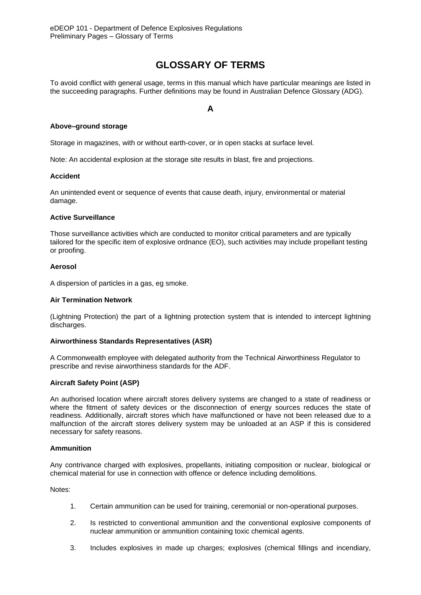# **GLOSSARY OF TERMS**

To avoid conflict with general usage, terms in this manual which have particular meanings are listed in the succeeding paragraphs. Further definitions may be found in Australian Defence Glossary (ADG).

## **A**

## **Above–ground storage**

Storage in magazines, with or without earth-cover, or in open stacks at surface level.

Note: An accidental explosion at the storage site results in blast, fire and projections.

## **Accident**

An unintended event or sequence of events that cause death, injury, environmental or material damage.

### **Active Surveillance**

Those surveillance activities which are conducted to monitor critical parameters and are typically tailored for the specific item of explosive ordnance (EO), such activities may include propellant testing or proofing.

## **Aerosol**

A dispersion of particles in a gas, eg smoke.

### **Air Termination Network**

(Lightning Protection) the part of a lightning protection system that is intended to intercept lightning discharges.

## **Airworthiness Standards Representatives (ASR)**

A Commonwealth employee with delegated authority from the Technical Airworthiness Regulator to prescribe and revise airworthiness standards for the ADF.

## **Aircraft Safety Point (ASP)**

An authorised location where aircraft stores delivery systems are changed to a state of readiness or where the fitment of safety devices or the disconnection of energy sources reduces the state of readiness. Additionally, aircraft stores which have malfunctioned or have not been released due to a malfunction of the aircraft stores delivery system may be unloaded at an ASP if this is considered necessary for safety reasons.

#### **Ammunition**

Any contrivance charged with explosives, propellants, initiating composition or nuclear, biological or chemical material for use in connection with offence or defence including demolitions.

Notes:

- 1. Certain ammunition can be used for training, ceremonial or non-operational purposes.
- 2. Is restricted to conventional ammunition and the conventional explosive components of nuclear ammunition or ammunition containing toxic chemical agents.
- 3. Includes explosives in made up charges; explosives (chemical fillings and incendiary,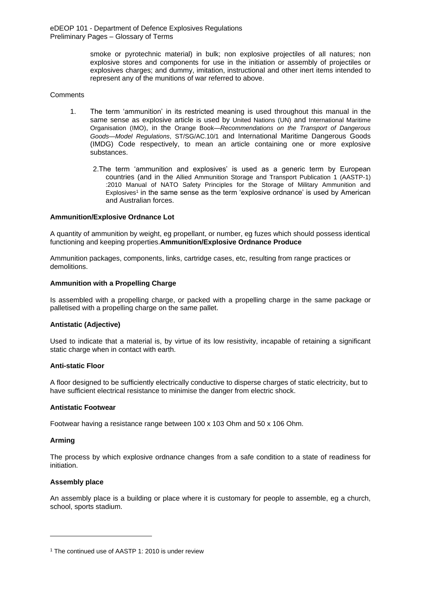> smoke or pyrotechnic material) in bulk; non explosive projectiles of all natures; non explosive stores and components for use in the initiation or assembly of projectiles or explosives charges; and dummy, imitation, instructional and other inert items intended to represent any of the munitions of war referred to above.

#### **Comments**

- 1. The term 'ammunition' in its restricted meaning is used throughout this manual in the same sense as explosive article is used by United Nations (UN) and International Maritime Organisation (IMO), in the Orange Book—*Recommendations on the Transport of Dangerous Goods—Model Regulations*, ST/SG/AC.10/1 and International Maritime Dangerous Goods (IMDG) Code respectively, to mean an article containing one or more explosive substances.
	- 2.The term 'ammunition and explosives' is used as a generic term by European countries (and in the Allied Ammunition Storage and Transport Publication 1 (AASTP-1) :2010 Manual of NATO Safety Principles for the Storage of Military Ammunition and Explosives<sup>1</sup> in the same sense as the term 'explosive ordnance' is used by American and Australian forces.

### **Ammunition/Explosive Ordnance Lot**

A quantity of ammunition by weight, eg propellant, or number, eg fuzes which should possess identical functioning and keeping properties.**Ammunition/Explosive Ordnance Produce**

Ammunition packages, components, links, cartridge cases, etc, resulting from range practices or demolitions.

#### **Ammunition with a Propelling Charge**

Is assembled with a propelling charge, or packed with a propelling charge in the same package or palletised with a propelling charge on the same pallet.

#### **Antistatic (Adjective)**

Used to indicate that a material is, by virtue of its low resistivity, incapable of retaining a significant static charge when in contact with earth.

#### **Anti-static Floor**

A floor designed to be sufficiently electrically conductive to disperse charges of static electricity, but to have sufficient electrical resistance to minimise the danger from electric shock.

#### **Antistatic Footwear**

Footwear having a resistance range between 100 x 103 Ohm and 50 x 106 Ohm.

#### **Arming**

-

The process by which explosive ordnance changes from a safe condition to a state of readiness for initiation.

#### **Assembly place**

An assembly place is a building or place where it is customary for people to assemble, eg a church, school, sports stadium.

<sup>&</sup>lt;sup>1</sup> The continued use of AASTP 1: 2010 is under review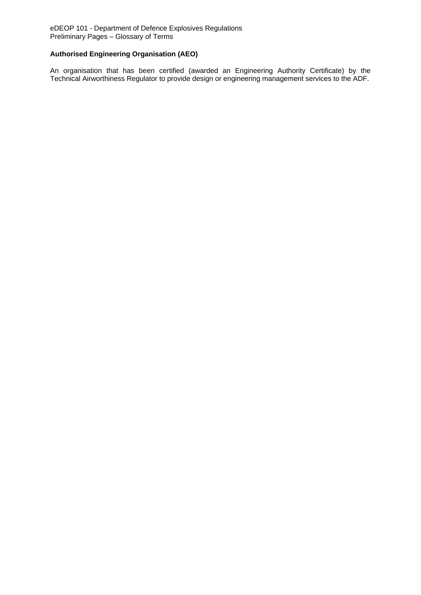## **Authorised Engineering Organisation (AEO)**

An organisation that has been certified (awarded an Engineering Authority Certificate) by the Technical Airworthiness Regulator to provide design or engineering management services to the ADF.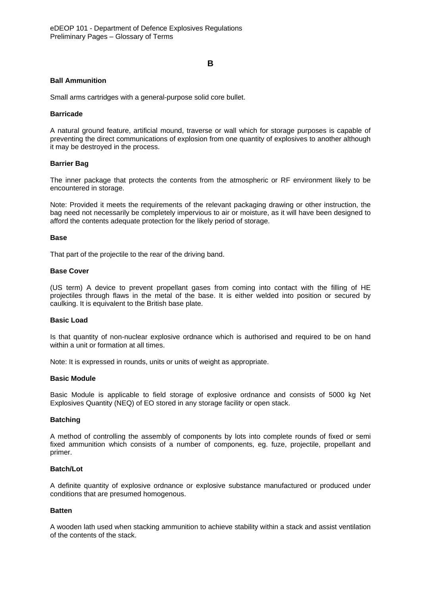### **B**

### **Ball Ammunition**

Small arms cartridges with a general-purpose solid core bullet.

### **Barricade**

A natural ground feature, artificial mound, traverse or wall which for storage purposes is capable of preventing the direct communications of explosion from one quantity of explosives to another although it may be destroyed in the process.

### **Barrier Bag**

The inner package that protects the contents from the atmospheric or RF environment likely to be encountered in storage.

Note: Provided it meets the requirements of the relevant packaging drawing or other instruction, the bag need not necessarily be completely impervious to air or moisture, as it will have been designed to afford the contents adequate protection for the likely period of storage.

#### **Base**

That part of the projectile to the rear of the driving band.

#### **Base Cover**

(US term) A device to prevent propellant gases from coming into contact with the filling of HE projectiles through flaws in the metal of the base. It is either welded into position or secured by caulking. It is equivalent to the British base plate.

### **Basic Load**

Is that quantity of non-nuclear explosive ordnance which is authorised and required to be on hand within a unit or formation at all times.

Note: It is expressed in rounds, units or units of weight as appropriate.

#### **Basic Module**

Basic Module is applicable to field storage of explosive ordnance and consists of 5000 kg Net Explosives Quantity (NEQ) of EO stored in any storage facility or open stack.

#### **Batching**

A method of controlling the assembly of components by lots into complete rounds of fixed or semi fixed ammunition which consists of a number of components, eg. fuze, projectile, propellant and primer.

### **Batch/Lot**

A definite quantity of explosive ordnance or explosive substance manufactured or produced under conditions that are presumed homogenous.

#### **Batten**

A wooden lath used when stacking ammunition to achieve stability within a stack and assist ventilation of the contents of the stack.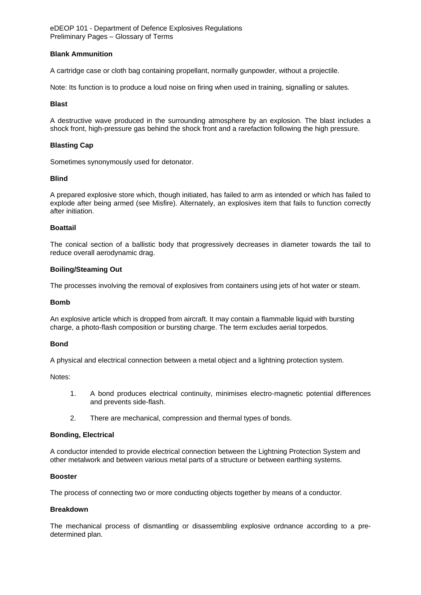### **Blank Ammunition**

A cartridge case or cloth bag containing propellant, normally gunpowder, without a projectile.

Note: Its function is to produce a loud noise on firing when used in training, signalling or salutes.

### **Blast**

A destructive wave produced in the surrounding atmosphere by an explosion. The blast includes a shock front, high-pressure gas behind the shock front and a rarefaction following the high pressure.

### **Blasting Cap**

Sometimes synonymously used for detonator.

### **Blind**

A prepared explosive store which, though initiated, has failed to arm as intended or which has failed to explode after being armed (see Misfire). Alternately, an explosives item that fails to function correctly after initiation.

### **Boattail**

The conical section of a ballistic body that progressively decreases in diameter towards the tail to reduce overall aerodynamic drag.

#### **Boiling/Steaming Out**

The processes involving the removal of explosives from containers using jets of hot water or steam.

#### **Bomb**

An explosive article which is dropped from aircraft. It may contain a flammable liquid with bursting charge, a photo-flash composition or bursting charge. The term excludes aerial torpedos.

#### **Bond**

A physical and electrical connection between a metal object and a lightning protection system.

Notes:

- 1. A bond produces electrical continuity, minimises electro-magnetic potential differences and prevents side-flash.
- 2. There are mechanical, compression and thermal types of bonds.

#### **Bonding, Electrical**

A conductor intended to provide electrical connection between the Lightning Protection System and other metalwork and between various metal parts of a structure or between earthing systems.

#### **Booster**

The process of connecting two or more conducting objects together by means of a conductor.

#### **Breakdown**

The mechanical process of dismantling or disassembling explosive ordnance according to a predetermined plan.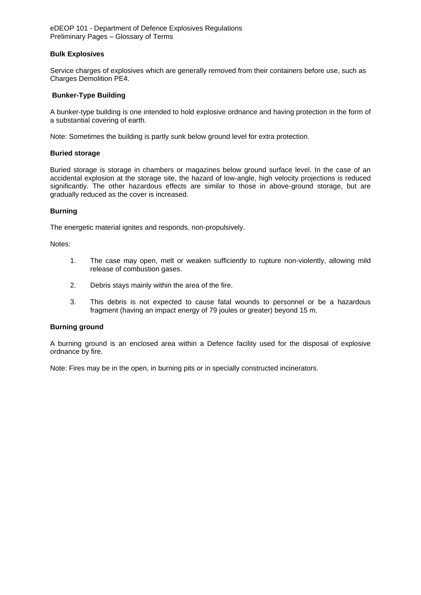### **Bulk Explosives**

Service charges of explosives which are generally removed from their containers before use, such as Charges Demolition PE4.

### **Bunker-Type Building**

A bunker-type building is one intended to hold explosive ordnance and having protection in the form of a substantial covering of earth.

Note: Sometimes the building is partly sunk below ground level for extra protection.

#### **Buried storage**

Buried storage is storage in chambers or magazines below ground surface level. In the case of an accidental explosion at the storage site, the hazard of low-angle, high velocity projections is reduced significantly. The other hazardous effects are similar to those in above-ground storage, but are gradually reduced as the cover is increased.

### **Burning**

The energetic material ignites and responds, non-propulsively.

Notes:

- 1. The case may open, melt or weaken sufficiently to rupture non-violently, allowing mild release of combustion gases.
- 2. Debris stays mainly within the area of the fire.
- 3. This debris is not expected to cause fatal wounds to personnel or be a hazardous fragment (having an impact energy of 79 joules or greater) beyond 15 m.

#### **Burning ground**

A burning ground is an enclosed area within a Defence facility used for the disposal of explosive ordnance by fire.

Note: Fires may be in the open, in burning pits or in specially constructed incinerators.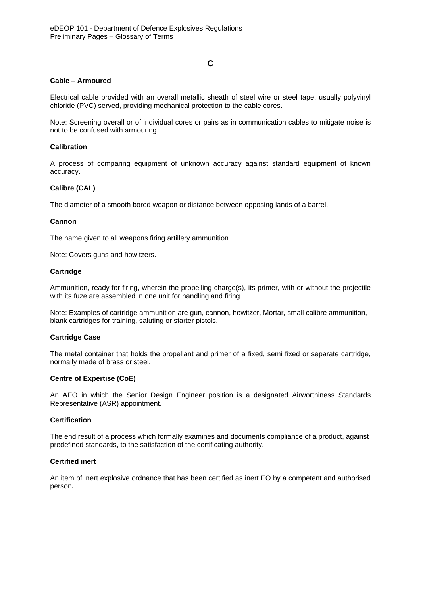## **C**

### **Cable – Armoured**

Electrical cable provided with an overall metallic sheath of steel wire or steel tape, usually polyvinyl chloride (PVC) served, providing mechanical protection to the cable cores.

Note: Screening overall or of individual cores or pairs as in communication cables to mitigate noise is not to be confused with armouring.

### **Calibration**

A process of comparing equipment of unknown accuracy against standard equipment of known accuracy.

### **Calibre (CAL)**

The diameter of a smooth bored weapon or distance between opposing lands of a barrel.

#### **Cannon**

The name given to all weapons firing artillery ammunition.

Note: Covers guns and howitzers.

#### **Cartridge**

Ammunition, ready for firing, wherein the propelling charge(s), its primer, with or without the projectile with its fuze are assembled in one unit for handling and firing.

Note: Examples of cartridge ammunition are gun, cannon, howitzer, Mortar, small calibre ammunition, blank cartridges for training, saluting or starter pistols.

#### **Cartridge Case**

The metal container that holds the propellant and primer of a fixed, semi fixed or separate cartridge, normally made of brass or steel.

#### **Centre of Expertise (CoE)**

An AEO in which the Senior Design Engineer position is a designated Airworthiness Standards Representative (ASR) appointment.

#### **Certification**

The end result of a process which formally examines and documents compliance of a product, against predefined standards, to the satisfaction of the certificating authority.

#### **Certified inert**

An item of inert explosive ordnance that has been certified as inert EO by a competent and authorised person**.**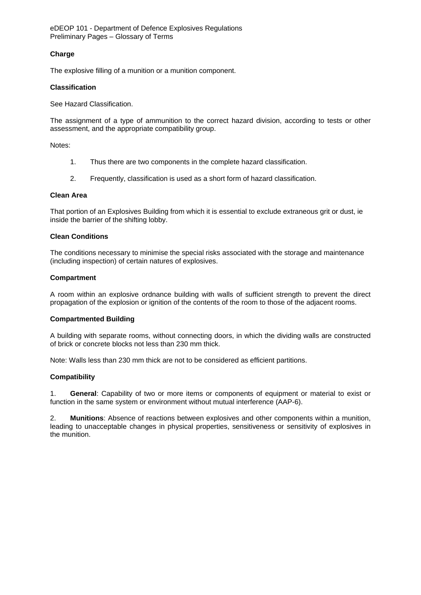## **Charge**

The explosive filling of a munition or a munition component.

### **Classification**

See Hazard Classification.

The assignment of a type of ammunition to the correct hazard division, according to tests or other assessment, and the appropriate compatibility group.

Notes:

- 1. Thus there are two components in the complete hazard classification.
- 2. Frequently, classification is used as a short form of hazard classification.

#### **Clean Area**

That portion of an Explosives Building from which it is essential to exclude extraneous grit or dust, ie inside the barrier of the shifting lobby.

### **Clean Conditions**

The conditions necessary to minimise the special risks associated with the storage and maintenance (including inspection) of certain natures of explosives.

### **Compartment**

A room within an explosive ordnance building with walls of sufficient strength to prevent the direct propagation of the explosion or ignition of the contents of the room to those of the adjacent rooms.

## **Compartmented Building**

A building with separate rooms, without connecting doors, in which the dividing walls are constructed of brick or concrete blocks not less than 230 mm thick.

Note: Walls less than 230 mm thick are not to be considered as efficient partitions.

## **Compatibility**

1. **General**: Capability of two or more items or components of equipment or material to exist or function in the same system or environment without mutual interference (AAP-6).

2. **Munitions**: Absence of reactions between explosives and other components within a munition, leading to unacceptable changes in physical properties, sensitiveness or sensitivity of explosives in the munition.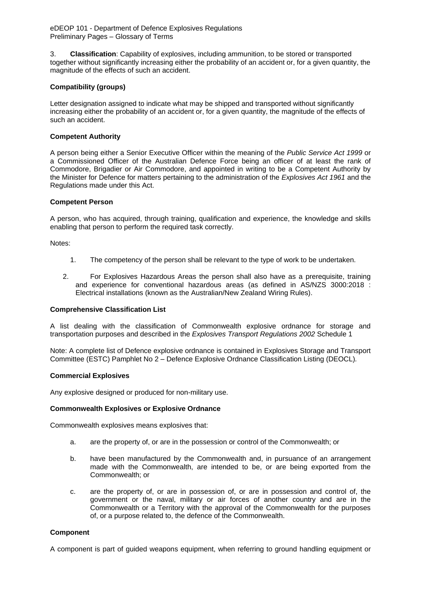3. **Classification**: Capability of explosives, including ammunition, to be stored or transported together without significantly increasing either the probability of an accident or, for a given quantity, the magnitude of the effects of such an accident.

## **Compatibility (groups)**

Letter designation assigned to indicate what may be shipped and transported without significantly increasing either the probability of an accident or, for a given quantity, the magnitude of the effects of such an accident.

### **Competent Authority**

A person being either a Senior Executive Officer within the meaning of the *Public Service Act 1999* or a Commissioned Officer of the Australian Defence Force being an officer of at least the rank of Commodore, Brigadier or Air Commodore, and appointed in writing to be a Competent Authority by the Minister for Defence for matters pertaining to the administration of the *Explosives Act 1961* and the Regulations made under this Act.

#### **Competent Person**

A person, who has acquired, through training, qualification and experience, the knowledge and skills enabling that person to perform the required task correctly.

Notes:

- 1. The competency of the person shall be relevant to the type of work to be undertaken.
- 2. For Explosives Hazardous Areas the person shall also have as a prerequisite, training and experience for conventional hazardous areas (as defined in AS/NZS 3000:2018 : Electrical installations (known as the Australian/New Zealand Wiring Rules).

#### **Comprehensive Classification List**

A list dealing with the classification of Commonwealth explosive ordnance for storage and transportation purposes and described in the *Explosives Transport Regulations 2002* Schedule 1

Note: A complete list of Defence explosive ordnance is contained in Explosives Storage and Transport Committee (ESTC) Pamphlet No 2 – Defence Explosive Ordnance Classification Listing (DEOCL)*.*

#### **Commercial Explosives**

Any explosive designed or produced for non-military use.

#### **Commonwealth Explosives or Explosive Ordnance**

Commonwealth explosives means explosives that:

- a. are the property of, or are in the possession or control of the Commonwealth; or
- b. have been manufactured by the Commonwealth and, in pursuance of an arrangement made with the Commonwealth, are intended to be, or are being exported from the Commonwealth; or
- c. are the property of, or are in possession of, or are in possession and control of, the government or the naval, military or air forces of another country and are in the Commonwealth or a Territory with the approval of the Commonwealth for the purposes of, or a purpose related to, the defence of the Commonwealth.

#### **Component**

A component is part of guided weapons equipment, when referring to ground handling equipment or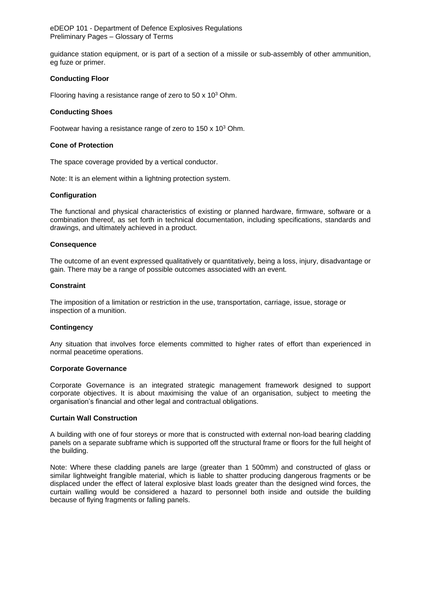guidance station equipment, or is part of a section of a missile or sub-assembly of other ammunition, eg fuze or primer.

### **Conducting Floor**

Flooring having a resistance range of zero to  $50 \times 10^3$  Ohm.

#### **Conducting Shoes**

Footwear having a resistance range of zero to 150 x 10<sup>3</sup> Ohm.

### **Cone of Protection**

The space coverage provided by a vertical conductor.

Note: It is an element within a lightning protection system.

#### **Configuration**

The functional and physical characteristics of existing or planned hardware, firmware, software or a combination thereof, as set forth in technical documentation, including specifications, standards and drawings, and ultimately achieved in a product.

#### **Consequence**

The outcome of an event expressed qualitatively or quantitatively, being a loss, injury, disadvantage or gain. There may be a range of possible outcomes associated with an event.

#### **Constraint**

The imposition of a limitation or restriction in the use, transportation, carriage, issue, storage or inspection of a munition.

#### **Contingency**

Any situation that involves force elements committed to higher rates of effort than experienced in normal peacetime operations.

#### **Corporate Governance**

Corporate Governance is an integrated strategic management framework designed to support corporate objectives. It is about maximising the value of an organisation, subject to meeting the organisation's financial and other legal and contractual obligations.

#### **Curtain Wall Construction**

A building with one of four storeys or more that is constructed with external non-load bearing cladding panels on a separate subframe which is supported off the structural frame or floors for the full height of the building.

Note: Where these cladding panels are large (greater than 1 500mm) and constructed of glass or similar lightweight frangible material, which is liable to shatter producing dangerous fragments or be displaced under the effect of lateral explosive blast loads greater than the designed wind forces, the curtain walling would be considered a hazard to personnel both inside and outside the building because of flying fragments or falling panels.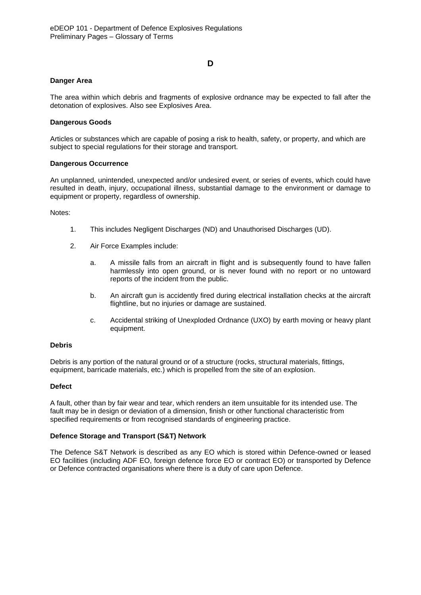## **D**

### **Danger Area**

The area within which debris and fragments of explosive ordnance may be expected to fall after the detonation of explosives. Also see Explosives Area.

### **Dangerous Goods**

Articles or substances which are capable of posing a risk to health, safety, or property, and which are subject to special regulations for their storage and transport.

#### **Dangerous Occurrence**

An unplanned, unintended, unexpected and/or undesired event, or series of events, which could have resulted in death, injury, occupational illness, substantial damage to the environment or damage to equipment or property, regardless of ownership.

Notes:

- 1. This includes Negligent Discharges (ND) and Unauthorised Discharges (UD).
- 2. Air Force Examples include:
	- a. A missile falls from an aircraft in flight and is subsequently found to have fallen harmlessly into open ground, or is never found with no report or no untoward reports of the incident from the public.
	- b. An aircraft gun is accidently fired during electrical installation checks at the aircraft flightline, but no injuries or damage are sustained.
	- c. Accidental striking of Unexploded Ordnance (UXO) by earth moving or heavy plant equipment.

#### **Debris**

Debris is any portion of the natural ground or of a structure (rocks, structural materials, fittings, equipment, barricade materials, etc.) which is propelled from the site of an explosion.

#### **Defect**

A fault, other than by fair wear and tear, which renders an item unsuitable for its intended use. The fault may be in design or deviation of a dimension, finish or other functional characteristic from specified requirements or from recognised standards of engineering practice.

#### **Defence Storage and Transport (S&T) Network**

The Defence S&T Network is described as any EO which is stored within Defence-owned or leased EO facilities (including ADF EO, foreign defence force EO or contract EO) or transported by Defence or Defence contracted organisations where there is a duty of care upon Defence.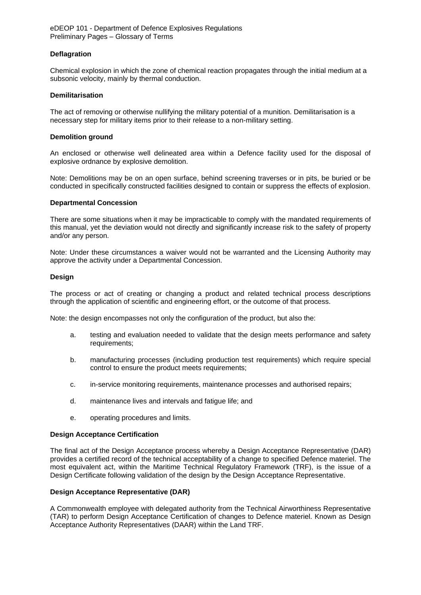### **Deflagration**

Chemical explosion in which the zone of chemical reaction propagates through the initial medium at a subsonic velocity, mainly by thermal conduction.

#### **Demilitarisation**

The act of removing or otherwise nullifying the military potential of a munition. Demilitarisation is a necessary step for military items prior to their release to a non-military setting.

#### **Demolition ground**

An enclosed or otherwise well delineated area within a Defence facility used for the disposal of explosive ordnance by explosive demolition.

Note: Demolitions may be on an open surface, behind screening traverses or in pits, be buried or be conducted in specifically constructed facilities designed to contain or suppress the effects of explosion.

#### **Departmental Concession**

There are some situations when it may be impracticable to comply with the mandated requirements of this manual, yet the deviation would not directly and significantly increase risk to the safety of property and/or any person.

Note: Under these circumstances a waiver would not be warranted and the Licensing Authority may approve the activity under a Departmental Concession.

### **Design**

The process or act of creating or changing a product and related technical process descriptions through the application of scientific and engineering effort, or the outcome of that process.

Note: the design encompasses not only the configuration of the product, but also the:

- a. testing and evaluation needed to validate that the design meets performance and safety requirements;
- b. manufacturing processes (including production test requirements) which require special control to ensure the product meets requirements;
- c. in-service monitoring requirements, maintenance processes and authorised repairs;
- d. maintenance lives and intervals and fatigue life; and
- e. operating procedures and limits.

#### **Design Acceptance Certification**

The final act of the Design Acceptance process whereby a Design Acceptance Representative (DAR) provides a certified record of the technical acceptability of a change to specified Defence materiel. The most equivalent act, within the Maritime Technical Regulatory Framework (TRF), is the issue of a Design Certificate following validation of the design by the Design Acceptance Representative.

#### **Design Acceptance Representative (DAR)**

A Commonwealth employee with delegated authority from the Technical Airworthiness Representative (TAR) to perform Design Acceptance Certification of changes to Defence materiel. Known as Design Acceptance Authority Representatives (DAAR) within the Land TRF.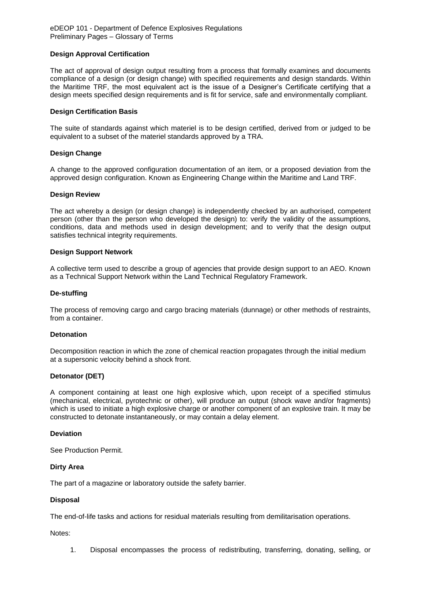### **Design Approval Certification**

The act of approval of design output resulting from a process that formally examines and documents compliance of a design (or design change) with specified requirements and design standards. Within the Maritime TRF, the most equivalent act is the issue of a Designer's Certificate certifying that a design meets specified design requirements and is fit for service, safe and environmentally compliant.

#### **Design Certification Basis**

The suite of standards against which materiel is to be design certified, derived from or judged to be equivalent to a subset of the materiel standards approved by a TRA.

#### **Design Change**

A change to the approved configuration documentation of an item, or a proposed deviation from the approved design configuration. Known as Engineering Change within the Maritime and Land TRF.

#### **Design Review**

The act whereby a design (or design change) is independently checked by an authorised, competent person (other than the person who developed the design) to: verify the validity of the assumptions, conditions, data and methods used in design development; and to verify that the design output satisfies technical integrity requirements.

#### **Design Support Network**

A collective term used to describe a group of agencies that provide design support to an AEO. Known as a Technical Support Network within the Land Technical Regulatory Framework.

#### **De-stuffing**

The process of removing cargo and cargo bracing materials (dunnage) or other methods of restraints, from a container.

#### **Detonation**

Decomposition reaction in which the zone of chemical reaction propagates through the initial medium at a supersonic velocity behind a shock front.

#### **Detonator (DET)**

A component containing at least one high explosive which, upon receipt of a specified stimulus (mechanical, electrical, pyrotechnic or other), will produce an output (shock wave and/or fragments) which is used to initiate a high explosive charge or another component of an explosive train. It may be constructed to detonate instantaneously, or may contain a delay element.

#### **Deviation**

See Production Permit.

#### **Dirty Area**

The part of a magazine or laboratory outside the safety barrier.

#### **Disposal**

The end-of-life tasks and actions for residual materials resulting from demilitarisation operations.

Notes:

1. Disposal encompasses the process of redistributing, transferring, donating, selling, or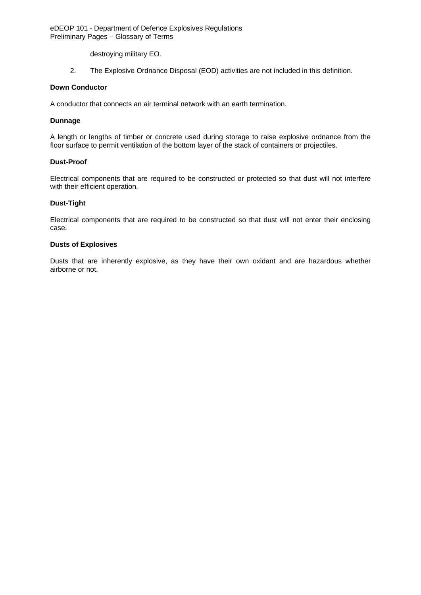destroying military EO.

2. The Explosive Ordnance Disposal (EOD) activities are not included in this definition.

## **Down Conductor**

A conductor that connects an air terminal network with an earth termination.

### **Dunnage**

A length or lengths of timber or concrete used during storage to raise explosive ordnance from the floor surface to permit ventilation of the bottom layer of the stack of containers or projectiles.

### **Dust-Proof**

Electrical components that are required to be constructed or protected so that dust will not interfere with their efficient operation.

### **Dust-Tight**

Electrical components that are required to be constructed so that dust will not enter their enclosing case.

### **Dusts of Explosives**

Dusts that are inherently explosive, as they have their own oxidant and are hazardous whether airborne or not.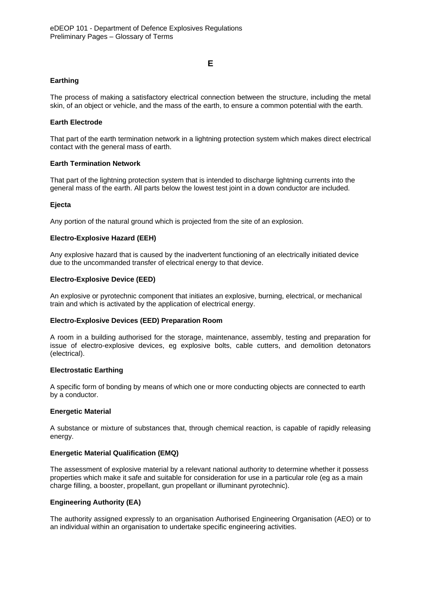## **E**

## **Earthing**

The process of making a satisfactory electrical connection between the structure, including the metal skin, of an object or vehicle, and the mass of the earth, to ensure a common potential with the earth.

### **Earth Electrode**

That part of the earth termination network in a lightning protection system which makes direct electrical contact with the general mass of earth.

### **Earth Termination Network**

That part of the lightning protection system that is intended to discharge lightning currents into the general mass of the earth. All parts below the lowest test joint in a down conductor are included.

#### **Ejecta**

Any portion of the natural ground which is projected from the site of an explosion.

### **Electro-Explosive Hazard (EEH)**

Any explosive hazard that is caused by the inadvertent functioning of an electrically initiated device due to the uncommanded transfer of electrical energy to that device.

### **Electro-Explosive Device (EED)**

An explosive or pyrotechnic component that initiates an explosive, burning, electrical, or mechanical train and which is activated by the application of electrical energy.

#### **Electro-Explosive Devices (EED) Preparation Room**

A room in a building authorised for the storage, maintenance, assembly, testing and preparation for issue of electro-explosive devices, eg explosive bolts, cable cutters, and demolition detonators (electrical).

#### **Electrostatic Earthing**

A specific form of bonding by means of which one or more conducting objects are connected to earth by a conductor.

#### **Energetic Material**

A substance or mixture of substances that, through chemical reaction, is capable of rapidly releasing energy.

#### **Energetic Material Qualification (EMQ)**

The assessment of explosive material by a relevant national authority to determine whether it possess properties which make it safe and suitable for consideration for use in a particular role (eg as a main charge filling, a booster, propellant, gun propellant or illuminant pyrotechnic).

## **Engineering Authority (EA)**

The authority assigned expressly to an organisation Authorised Engineering Organisation (AEO) or to an individual within an organisation to undertake specific engineering activities.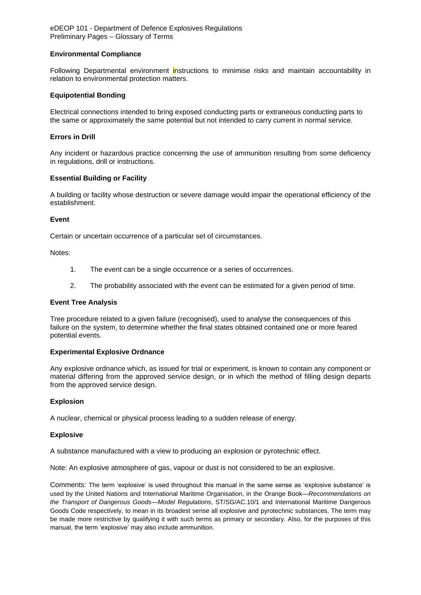### **Environmental Compliance**

Following Departmental environment instructions to minimise risks and maintain accountability in relation to environmental protection matters.

### **Equipotential Bonding**

Electrical connections intended to bring exposed conducting parts or extraneous conducting parts to the same or approximately the same potential but not intended to carry current in normal service.

### **Errors in Drill**

Any incident or hazardous practice concerning the use of ammunition resulting from some deficiency in regulations, drill or instructions.

### **Essential Building or Facility**

A building or facility whose destruction or severe damage would impair the operational efficiency of the establishment.

#### **Event**

Certain or uncertain occurrence of a particular set of circumstances.

Notes:

- 1. The event can be a single occurrence or a series of occurrences.
- 2. The probability associated with the event can be estimated for a given period of time.

#### **Event Tree Analysis**

Tree procedure related to a given failure (recognised), used to analyse the consequences of this failure on the system, to determine whether the final states obtained contained one or more feared potential events.

#### **Experimental Explosive Ordnance**

Any explosive ordnance which, as issued for trial or experiment, is known to contain any component or material differing from the approved service design, or in which the method of filling design departs from the approved service design.

#### **Explosion**

A nuclear, chemical or physical process leading to a sudden release of energy.

#### **Explosive**

A substance manufactured with a view to producing an explosion or pyrotechnic effect.

Note: An explosive atmosphere of gas, vapour or dust is not considered to be an explosive.

Comments: The term 'explosive' is used throughout this manual in the same sense as 'explosive substance' is used by the United Nations and International Maritime Organisation, in the Orange Book—*Recommendations on the Transport of Dangerous Goods—Model Regulations*, ST/SG/AC.10/1 and International Maritime Dangerous Goods Code respectively, to mean in its broadest sense all explosive and pyrotechnic substances. The term may be made more restrictive by qualifying it with such terms as primary or secondary. Also, for the purposes of this manual, the term 'explosive' may also include ammunition.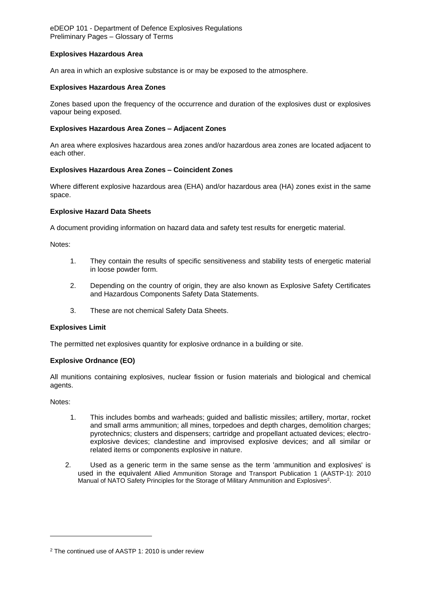### **Explosives Hazardous Area**

An area in which an explosive substance is or may be exposed to the atmosphere.

### **Explosives Hazardous Area Zones**

Zones based upon the frequency of the occurrence and duration of the explosives dust or explosives vapour being exposed.

### **Explosives Hazardous Area Zones – Adjacent Zones**

An area where explosives hazardous area zones and/or hazardous area zones are located adjacent to each other.

#### **Explosives Hazardous Area Zones – Coincident Zones**

Where different explosive hazardous area (EHA) and/or hazardous area (HA) zones exist in the same space.

#### **Explosive Hazard Data Sheets**

A document providing information on hazard data and safety test results for energetic material.

Notes:

- 1. They contain the results of specific sensitiveness and stability tests of energetic material in loose powder form.
- 2. Depending on the country of origin, they are also known as Explosive Safety Certificates and Hazardous Components Safety Data Statements.
- 3. These are not chemical Safety Data Sheets.

#### **Explosives Limit**

The permitted net explosives quantity for explosive ordnance in a building or site.

#### **Explosive Ordnance (EO)**

All munitions containing explosives, nuclear fission or fusion materials and biological and chemical agents.

Notes:

-

- 1. This includes bombs and warheads; guided and ballistic missiles; artillery, mortar, rocket and small arms ammunition; all mines, torpedoes and depth charges, demolition charges; pyrotechnics; clusters and dispensers; cartridge and propellant actuated devices; electroexplosive devices; clandestine and improvised explosive devices; and all similar or related items or components explosive in nature.
- 2. Used as a generic term in the same sense as the term 'ammunition and explosives' is used in the equivalent Allied Ammunition Storage and Transport Publication 1 (AASTP-1): 2010 Manual of NATO Safety Principles for the Storage of Military Ammunition and Explosives<sup>2</sup>.

<sup>2</sup> The continued use of AASTP 1: 2010 is under review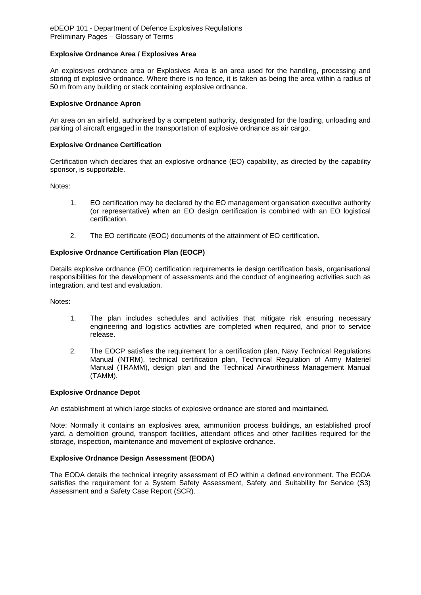### **Explosive Ordnance Area / Explosives Area**

An explosives ordnance area or Explosives Area is an area used for the handling, processing and storing of explosive ordnance. Where there is no fence, it is taken as being the area within a radius of 50 m from any building or stack containing explosive ordnance.

### **Explosive Ordnance Apron**

An area on an airfield, authorised by a competent authority, designated for the loading, unloading and parking of aircraft engaged in the transportation of explosive ordnance as air cargo.

### **Explosive Ordnance Certification**

Certification which declares that an explosive ordnance (EO) capability, as directed by the capability sponsor, is supportable.

Notes:

- 1. EO certification may be declared by the EO management organisation executive authority (or representative) when an EO design certification is combined with an EO logistical certification.
- 2. The EO certificate (EOC) documents of the attainment of EO certification.

### **Explosive Ordnance Certification Plan (EOCP)**

Details explosive ordnance (EO) certification requirements ie design certification basis, organisational responsibilities for the development of assessments and the conduct of engineering activities such as integration, and test and evaluation.

Notes:

- 1. The plan includes schedules and activities that mitigate risk ensuring necessary engineering and logistics activities are completed when required, and prior to service release.
- 2. The EOCP satisfies the requirement for a certification plan, Navy Technical Regulations Manual (NTRM), technical certification plan, Technical Regulation of Army Materiel Manual (TRAMM), design plan and the Technical Airworthiness Management Manual (TAMM).

#### **Explosive Ordnance Depot**

An establishment at which large stocks of explosive ordnance are stored and maintained.

Note: Normally it contains an explosives area, ammunition process buildings, an established proof yard, a demolition ground, transport facilities, attendant offices and other facilities required for the storage, inspection, maintenance and movement of explosive ordnance.

#### **Explosive Ordnance Design Assessment (EODA)**

The EODA details the technical integrity assessment of EO within a defined environment. The EODA satisfies the requirement for a System Safety Assessment, Safety and Suitability for Service (S3) Assessment and a Safety Case Report (SCR).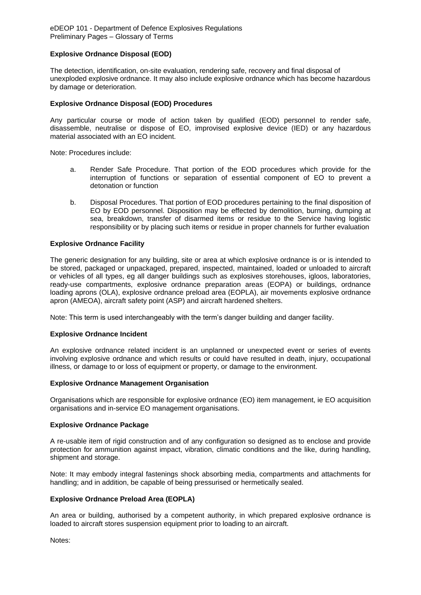### **Explosive Ordnance Disposal (EOD)**

The detection, identification, on-site evaluation, rendering safe, recovery and final disposal of unexploded explosive ordnance. It may also include explosive ordnance which has become hazardous by damage or deterioration.

### **Explosive Ordnance Disposal (EOD) Procedures**

Any particular course or mode of action taken by qualified (EOD) personnel to render safe, disassemble, neutralise or dispose of EO, improvised explosive device (IED) or any hazardous material associated with an EO incident.

Note: Procedures include:

- a. Render Safe Procedure. That portion of the EOD procedures which provide for the interruption of functions or separation of essential component of EO to prevent a detonation or function
- b. Disposal Procedures. That portion of EOD procedures pertaining to the final disposition of EO by EOD personnel. Disposition may be effected by demolition, burning, dumping at sea, breakdown, transfer of disarmed items or residue to the Service having logistic responsibility or by placing such items or residue in proper channels for further evaluation

### **Explosive Ordnance Facility**

The generic designation for any building, site or area at which explosive ordnance is or is intended to be stored, packaged or unpackaged, prepared, inspected, maintained, loaded or unloaded to aircraft or vehicles of all types, eg all danger buildings such as explosives storehouses, igloos, laboratories, ready-use compartments, explosive ordnance preparation areas (EOPA) or buildings, ordnance loading aprons (OLA), explosive ordnance preload area (EOPLA), air movements explosive ordnance apron (AMEOA), aircraft safety point (ASP) and aircraft hardened shelters.

Note: This term is used interchangeably with the term's danger building and danger facility.

#### **Explosive Ordnance Incident**

An explosive ordnance related incident is an unplanned or unexpected event or series of events involving explosive ordnance and which results or could have resulted in death, injury, occupational illness, or damage to or loss of equipment or property, or damage to the environment.

## **Explosive Ordnance Management Organisation**

Organisations which are responsible for explosive ordnance (EO) item management, ie EO acquisition organisations and in-service EO management organisations.

#### **Explosive Ordnance Package**

A re-usable item of rigid construction and of any configuration so designed as to enclose and provide protection for ammunition against impact, vibration, climatic conditions and the like, during handling, shipment and storage.

Note: It may embody integral fastenings shock absorbing media, compartments and attachments for handling; and in addition, be capable of being pressurised or hermetically sealed.

### **Explosive Ordnance Preload Area (EOPLA)**

An area or building, authorised by a competent authority, in which prepared explosive ordnance is loaded to aircraft stores suspension equipment prior to loading to an aircraft.

Notes: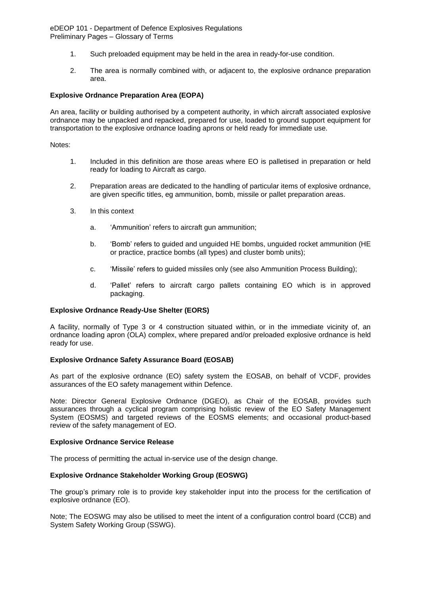- 1. Such preloaded equipment may be held in the area in ready-for-use condition.
- 2. The area is normally combined with, or adjacent to, the explosive ordnance preparation area.

### **Explosive Ordnance Preparation Area (EOPA)**

An area, facility or building authorised by a competent authority, in which aircraft associated explosive ordnance may be unpacked and repacked, prepared for use, loaded to ground support equipment for transportation to the explosive ordnance loading aprons or held ready for immediate use.

Notes:

- 1. Included in this definition are those areas where EO is palletised in preparation or held ready for loading to Aircraft as cargo.
- 2. Preparation areas are dedicated to the handling of particular items of explosive ordnance, are given specific titles, eg ammunition, bomb, missile or pallet preparation areas.
- 3. In this context
	- a. 'Ammunition' refers to aircraft gun ammunition;
	- b. 'Bomb' refers to guided and unguided HE bombs, unguided rocket ammunition (HE or practice, practice bombs (all types) and cluster bomb units);
	- c. 'Missile' refers to guided missiles only (see also Ammunition Process Building);
	- d. 'Pallet' refers to aircraft cargo pallets containing EO which is in approved packaging.

#### **Explosive Ordnance Ready-Use Shelter (EORS)**

A facility, normally of Type 3 or 4 construction situated within, or in the immediate vicinity of, an ordnance loading apron (OLA) complex, where prepared and/or preloaded explosive ordnance is held ready for use.

#### **Explosive Ordnance Safety Assurance Board (EOSAB)**

As part of the explosive ordnance (EO) safety system the EOSAB, on behalf of VCDF, provides assurances of the EO safety management within Defence.

Note: Director General Explosive Ordnance (DGEO), as Chair of the EOSAB, provides such assurances through a cyclical program comprising holistic review of the EO Safety Management System (EOSMS) and targeted reviews of the EOSMS elements; and occasional product-based review of the safety management of EO.

#### **Explosive Ordnance Service Release**

The process of permitting the actual in-service use of the design change.

#### **Explosive Ordnance Stakeholder Working Group (EOSWG)**

The group's primary role is to provide key stakeholder input into the process for the certification of explosive ordnance (EO).

Note; The EOSWG may also be utilised to meet the intent of a configuration control board (CCB) and System Safety Working Group (SSWG).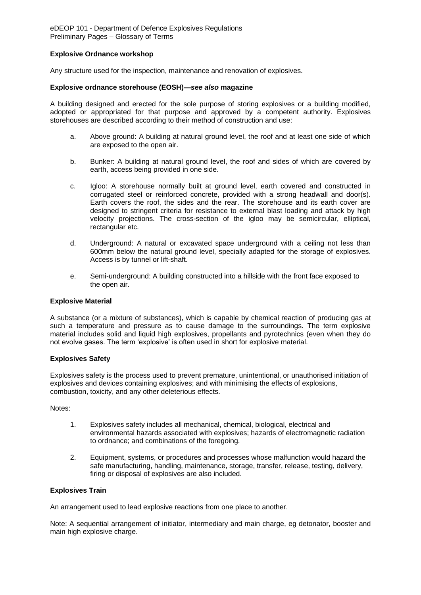### **Explosive Ordnance workshop**

Any structure used for the inspection, maintenance and renovation of explosives.

### **Explosive ordnance storehouse (EOSH)—***see also* **magazine**

A building designed and erected for the sole purpose of storing explosives or a building modified, adopted or appropriated for that purpose and approved by a competent authority. Explosives storehouses are described according to their method of construction and use:

- a. Above ground: A building at natural ground level, the roof and at least one side of which are exposed to the open air.
- b. Bunker: A building at natural ground level, the roof and sides of which are covered by earth, access being provided in one side.
- c. Igloo: A storehouse normally built at ground level, earth covered and constructed in corrugated steel or reinforced concrete, provided with a strong headwall and door(s). Earth covers the roof, the sides and the rear. The storehouse and its earth cover are designed to stringent criteria for resistance to external blast loading and attack by high velocity projections. The cross-section of the igloo may be semicircular, elliptical, rectangular etc.
- d. Underground: A natural or excavated space underground with a ceiling not less than 600mm below the natural ground level, specially adapted for the storage of explosives. Access is by tunnel or lift-shaft.
- e. Semi-underground: A building constructed into a hillside with the front face exposed to the open air.

### **Explosive Material**

A substance (or a mixture of substances), which is capable by chemical reaction of producing gas at such a temperature and pressure as to cause damage to the surroundings. The term explosive material includes solid and liquid high explosives, propellants and pyrotechnics (even when they do not evolve gases. The term 'explosive' is often used in short for explosive material.

#### **Explosives Safety**

Explosives safety is the process used to prevent premature, unintentional, or unauthorised initiation of explosives and devices containing explosives; and with minimising the effects of explosions, combustion, toxicity, and any other deleterious effects.

Notes:

- 1. Explosives safety includes all mechanical, chemical, biological, electrical and environmental hazards associated with explosives; hazards of electromagnetic radiation to ordnance; and combinations of the foregoing.
- 2. Equipment, systems, or procedures and processes whose malfunction would hazard the safe manufacturing, handling, maintenance, storage, transfer, release, testing, delivery, firing or disposal of explosives are also included.

### **Explosives Train**

An arrangement used to lead explosive reactions from one place to another.

Note: A sequential arrangement of initiator, intermediary and main charge, eg detonator, booster and main high explosive charge.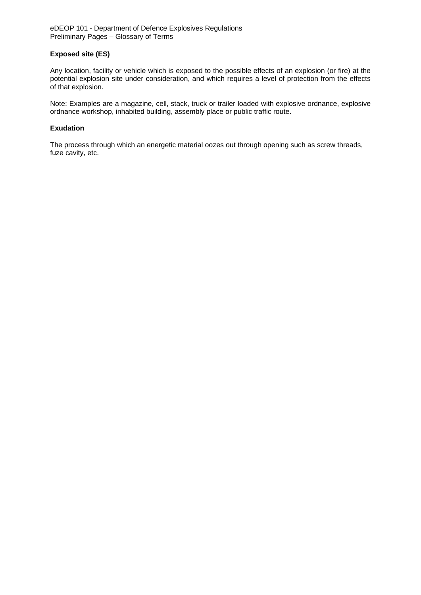## **Exposed site (ES)**

Any location, facility or vehicle which is exposed to the possible effects of an explosion (or fire) at the potential explosion site under consideration, and which requires a level of protection from the effects of that explosion.

Note: Examples are a magazine, cell, stack, truck or trailer loaded with explosive ordnance, explosive ordnance workshop, inhabited building, assembly place or public traffic route.

#### **Exudation**

The process through which an energetic material oozes out through opening such as screw threads, fuze cavity, etc.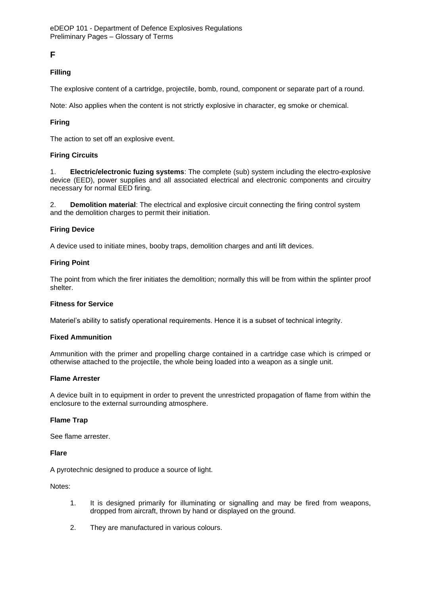# **F**

## **Filling**

The explosive content of a cartridge, projectile, bomb, round, component or separate part of a round.

Note: Also applies when the content is not strictly explosive in character, eg smoke or chemical.

## **Firing**

The action to set off an explosive event.

## **Firing Circuits**

1. **Electric/electronic fuzing systems**: The complete (sub) system including the electro-explosive device (EED), power supplies and all associated electrical and electronic components and circuitry necessary for normal EED firing.

2. **Demolition material**: The electrical and explosive circuit connecting the firing control system and the demolition charges to permit their initiation.

## **Firing Device**

A device used to initiate mines, booby traps, demolition charges and anti lift devices.

### **Firing Point**

The point from which the firer initiates the demolition; normally this will be from within the splinter proof shelter.

#### **Fitness for Service**

Materiel's ability to satisfy operational requirements. Hence it is a subset of technical integrity.

#### **Fixed Ammunition**

Ammunition with the primer and propelling charge contained in a cartridge case which is crimped or otherwise attached to the projectile, the whole being loaded into a weapon as a single unit.

#### **Flame Arrester**

A device built in to equipment in order to prevent the unrestricted propagation of flame from within the enclosure to the external surrounding atmosphere.

#### **Flame Trap**

See flame arrester.

#### **Flare**

A pyrotechnic designed to produce a source of light.

Notes:

- 1. It is designed primarily for illuminating or signalling and may be fired from weapons, dropped from aircraft, thrown by hand or displayed on the ground.
- 2. They are manufactured in various colours.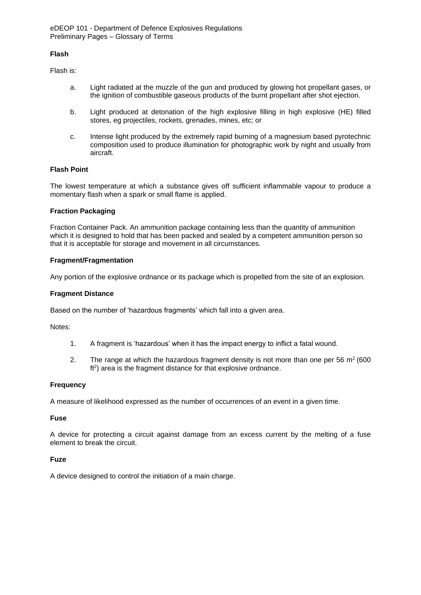### **Flash**

Flash is:

- a. Light radiated at the muzzle of the gun and produced by glowing hot propellant gases, or the ignition of combustible gaseous products of the burnt propellant after shot ejection.
- b. Light produced at detonation of the high explosive filling in high explosive (HE) filled stores, eg projectiles, rockets, grenades, mines, etc; or
- c. Intense light produced by the extremely rapid burning of a magnesium based pyrotechnic composition used to produce illumination for photographic work by night and usually from aircraft.

## **Flash Point**

The lowest temperature at which a substance gives off sufficient inflammable vapour to produce a momentary flash when a spark or small flame is applied.

## **Fraction Packaging**

Fraction Container Pack. An ammunition package containing less than the quantity of ammunition which it is designed to hold that has been packed and sealed by a competent ammunition person so that it is acceptable for storage and movement in all circumstances.

## **Fragment/Fragmentation**

Any portion of the explosive ordnance or its package which is propelled from the site of an explosion.

### **Fragment Distance**

Based on the number of 'hazardous fragments' which fall into a given area.

Notes:

- 1. A fragment is 'hazardous' when it has the impact energy to inflict a fatal wound.
- 2. The range at which the hazardous fragment density is not more than one per 56  $m^2$  (600) ft<sup>2</sup>) area is the fragment distance for that explosive ordnance.

## **Frequency**

A measure of likelihood expressed as the number of occurrences of an event in a given time.

#### **Fuse**

A device for protecting a circuit against damage from an excess current by the melting of a fuse element to break the circuit.

## **Fuze**

A device designed to control the initiation of a main charge.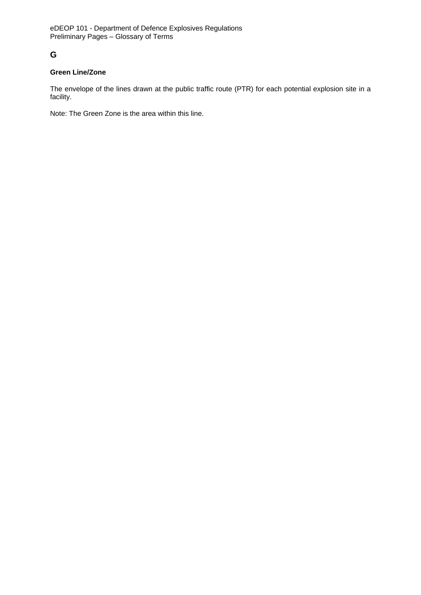# **G**

## **Green Line/Zone**

The envelope of the lines drawn at the public traffic route (PTR) for each potential explosion site in a facility.

Note: The Green Zone is the area within this line.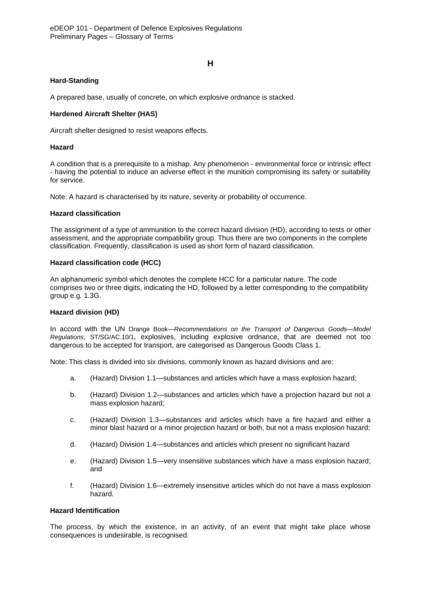### **H**

### **Hard-Standing**

A prepared base, usually of concrete, on which explosive ordnance is stacked.

### **Hardened Aircraft Shelter (HAS)**

Aircraft shelter designed to resist weapons effects.

#### **Hazard**

A condition that is a prerequisite to a mishap. Any phenomenon - environmental force or intrinsic effect - having the potential to induce an adverse effect in the munition compromising its safety or suitability for service.

Note: A hazard is characterised by its nature, severity or probability of occurrence.

### **Hazard classification**

The assignment of a type of ammunition to the correct hazard division (HD), according to tests or other assessment, and the appropriate compatibility group. Thus there are two components in the complete classification. Frequently, classification is used as short form of hazard classification.

#### **Hazard classification code (HCC)**

An alphanumeric symbol which denotes the complete HCC for a particular nature. The code comprises two or three digits, indicating the HD, followed by a letter corresponding to the compatibility group e.g. 1.3G.

#### **Hazard division (HD)**

In accord with the UN Orange Book—*Recommendations on the Transport of Dangerous Goods—Model Regulations*, ST/SG/AC.10/1, explosives, including explosive ordnance, that are deemed not too dangerous to be accepted for transport, are categorised as Dangerous Goods Class 1.

Note: This class is divided into six divisions, commonly known as hazard divisions and are:

- a. (Hazard) Division 1.1—substances and articles which have a mass explosion hazard;
- b. (Hazard) Division 1.2—substances and articles which have a projection hazard but not a mass explosion hazard;
- c. (Hazard) Division 1.3—substances and articles which have a fire hazard and either a minor blast hazard or a minor projection hazard or both, but not a mass explosion hazard;
- d. (Hazard) Division 1.4—substances and articles which present no significant hazard
- e. (Hazard) Division 1.5—very insensitive substances which have a mass explosion hazard; and
- f. (Hazard) Division 1.6—extremely insensitive articles which do not have a mass explosion hazard.

### **Hazard Identification**

The process, by which the existence, in an activity, of an event that might take place whose consequences is undesirable, is recognised.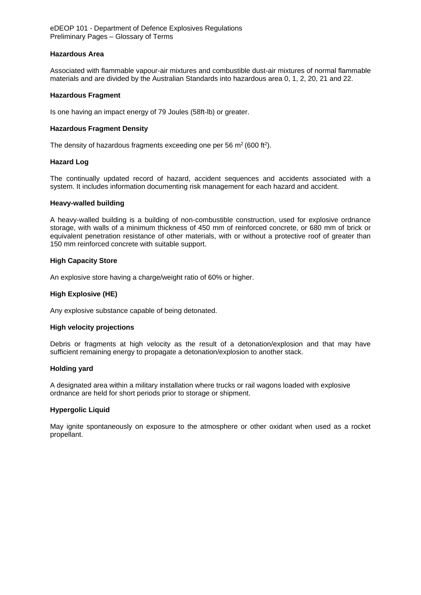#### **Hazardous Area**

Associated with flammable vapour-air mixtures and combustible dust-air mixtures of normal flammable materials and are divided by the Australian Standards into hazardous area 0, 1, 2, 20, 21 and 22.

### **Hazardous Fragment**

Is one having an impact energy of 79 Joules (58ft-lb) or greater.

### **Hazardous Fragment Density**

The density of hazardous fragments exceeding one per 56  $m^2$  (600 ft<sup>2</sup>).

### **Hazard Log**

The continually updated record of hazard, accident sequences and accidents associated with a system. It includes information documenting risk management for each hazard and accident.

#### **Heavy-walled building**

A heavy-walled building is a building of non-combustible construction, used for explosive ordnance storage, with walls of a minimum thickness of 450 mm of reinforced concrete, or 680 mm of brick or equivalent penetration resistance of other materials, with or without a protective roof of greater than 150 mm reinforced concrete with suitable support.

### **High Capacity Store**

An explosive store having a charge/weight ratio of 60% or higher.

## **High Explosive (HE)**

Any explosive substance capable of being detonated.

#### **High velocity projections**

Debris or fragments at high velocity as the result of a detonation/explosion and that may have sufficient remaining energy to propagate a detonation/explosion to another stack.

#### **Holding yard**

A designated area within a military installation where trucks or rail wagons loaded with explosive ordnance are held for short periods prior to storage or shipment.

#### **Hypergolic Liquid**

May ignite spontaneously on exposure to the atmosphere or other oxidant when used as a rocket propellant.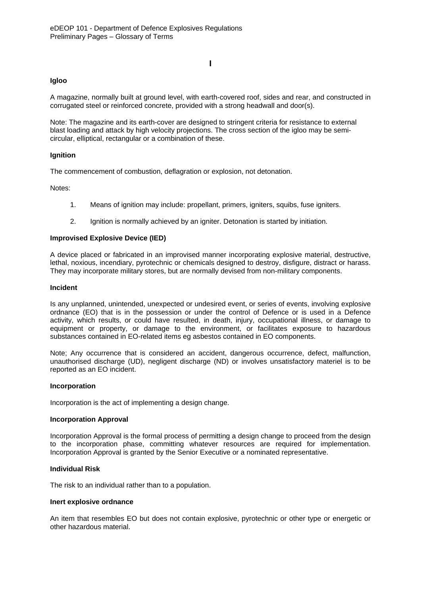## **I**

### **Igloo**

A magazine, normally built at ground level, with earth-covered roof, sides and rear, and constructed in corrugated steel or reinforced concrete, provided with a strong headwall and door(s).

Note: The magazine and its earth-cover are designed to stringent criteria for resistance to external blast loading and attack by high velocity projections. The cross section of the igloo may be semicircular, elliptical, rectangular or a combination of these.

### **Ignition**

The commencement of combustion, deflagration or explosion, not detonation.

Notes:

- 1. Means of ignition may include: propellant, primers, igniters, squibs, fuse igniters.
- 2. Ignition is normally achieved by an igniter. Detonation is started by initiation.

#### **Improvised Explosive Device (IED)**

A device placed or fabricated in an improvised manner incorporating explosive material, destructive, lethal, noxious, incendiary, pyrotechnic or chemicals designed to destroy, disfigure, distract or harass. They may incorporate military stores, but are normally devised from non-military components.

#### **Incident**

Is any unplanned, unintended, unexpected or undesired event, or series of events, involving explosive ordnance (EO) that is in the possession or under the control of Defence or is used in a Defence activity, which results, or could have resulted, in death, injury, occupational illness, or damage to equipment or property, or damage to the environment, or facilitates exposure to hazardous substances contained in EO-related items eg asbestos contained in EO components.

Note; Any occurrence that is considered an accident, dangerous occurrence, defect, malfunction, unauthorised discharge (UD), negligent discharge (ND) or involves unsatisfactory materiel is to be reported as an EO incident.

#### **Incorporation**

Incorporation is the act of implementing a design change.

#### **Incorporation Approval**

Incorporation Approval is the formal process of permitting a design change to proceed from the design to the incorporation phase, committing whatever resources are required for implementation. Incorporation Approval is granted by the Senior Executive or a nominated representative.

#### **Individual Risk**

The risk to an individual rather than to a population.

#### **Inert explosive ordnance**

An item that resembles EO but does not contain explosive, pyrotechnic or other type or energetic or other hazardous material.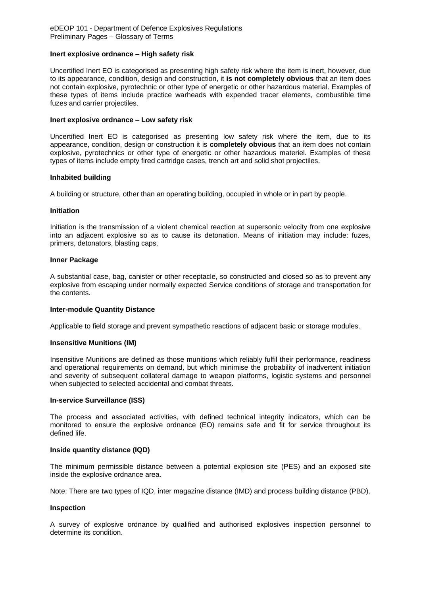#### **Inert explosive ordnance – High safety risk**

Uncertified Inert EO is categorised as presenting high safety risk where the item is inert, however, due to its appearance, condition, design and construction, it **is not completely obvious** that an item does not contain explosive, pyrotechnic or other type of energetic or other hazardous material. Examples of these types of items include practice warheads with expended tracer elements, combustible time fuzes and carrier projectiles.

#### **Inert explosive ordnance – Low safety risk**

Uncertified Inert EO is categorised as presenting low safety risk where the item, due to its appearance, condition, design or construction it is **completely obvious** that an item does not contain explosive, pyrotechnics or other type of energetic or other hazardous materiel. Examples of these types of items include empty fired cartridge cases, trench art and solid shot projectiles.

#### **Inhabited building**

A building or structure, other than an operating building, occupied in whole or in part by people.

#### **Initiation**

Initiation is the transmission of a violent chemical reaction at supersonic velocity from one explosive into an adjacent explosive so as to cause its detonation. Means of initiation may include: fuzes, primers, detonators, blasting caps.

#### **Inner Package**

A substantial case, bag, canister or other receptacle, so constructed and closed so as to prevent any explosive from escaping under normally expected Service conditions of storage and transportation for the contents.

#### **Inter-module Quantity Distance**

Applicable to field storage and prevent sympathetic reactions of adjacent basic or storage modules.

#### **Insensitive Munitions (IM)**

Insensitive Munitions are defined as those munitions which reliably fulfil their performance, readiness and operational requirements on demand, but which minimise the probability of inadvertent initiation and severity of subsequent collateral damage to weapon platforms, logistic systems and personnel when subjected to selected accidental and combat threats.

#### **In-service Surveillance (ISS)**

The process and associated activities, with defined technical integrity indicators, which can be monitored to ensure the explosive ordnance (EO) remains safe and fit for service throughout its defined life.

#### **Inside quantity distance (IQD)**

The minimum permissible distance between a potential explosion site (PES) and an exposed site inside the explosive ordnance area.

Note: There are two types of IQD, inter magazine distance (IMD) and process building distance (PBD).

#### **Inspection**

A survey of explosive ordnance by qualified and authorised explosives inspection personnel to determine its condition.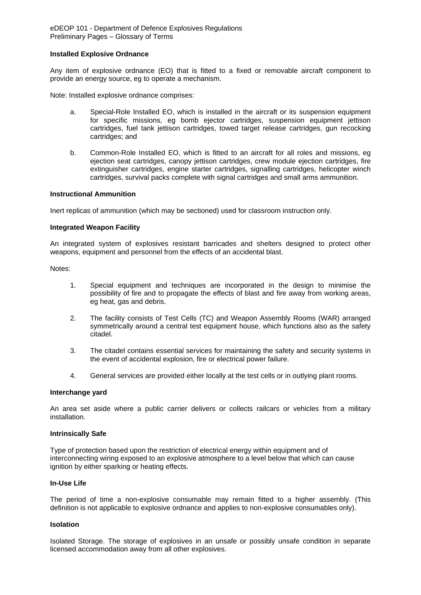#### **Installed Explosive Ordnance**

Any item of explosive ordnance (EO) that is fitted to a fixed or removable aircraft component to provide an energy source, eg to operate a mechanism.

Note: Installed explosive ordnance comprises:

- a. Special-Role Installed EO, which is installed in the aircraft or its suspension equipment for specific missions, eg bomb ejector cartridges, suspension equipment jettison cartridges, fuel tank jettison cartridges, towed target release cartridges, gun recocking cartridges; and
- b. Common-Role Installed EO, which is fitted to an aircraft for all roles and missions, eg ejection seat cartridges, canopy jettison cartridges, crew module ejection cartridges, fire extinguisher cartridges, engine starter cartridges, signalling cartridges, helicopter winch cartridges, survival packs complete with signal cartridges and small arms ammunition.

#### **Instructional Ammunition**

Inert replicas of ammunition (which may be sectioned) used for classroom instruction only.

#### **Integrated Weapon Facility**

An integrated system of explosives resistant barricades and shelters designed to protect other weapons, equipment and personnel from the effects of an accidental blast.

Notes:

- 1. Special equipment and techniques are incorporated in the design to minimise the possibility of fire and to propagate the effects of blast and fire away from working areas, eg heat, gas and debris.
- 2. The facility consists of Test Cells (TC) and Weapon Assembly Rooms (WAR) arranged symmetrically around a central test equipment house, which functions also as the safety citadel.
- 3. The citadel contains essential services for maintaining the safety and security systems in the event of accidental explosion, fire or electrical power failure.
- 4. General services are provided either locally at the test cells or in outlying plant rooms.

#### **Interchange yard**

An area set aside where a public carrier delivers or collects railcars or vehicles from a military installation.

#### **Intrinsically Safe**

Type of protection based upon the restriction of electrical energy within equipment and of interconnecting wiring exposed to an explosive atmosphere to a level below that which can cause ignition by either sparking or heating effects.

### **In-Use Life**

The period of time a non-explosive consumable may remain fitted to a higher assembly. (This definition is not applicable to explosive ordnance and applies to non-explosive consumables only).

#### **Isolation**

Isolated Storage. The storage of explosives in an unsafe or possibly unsafe condition in separate licensed accommodation away from all other explosives.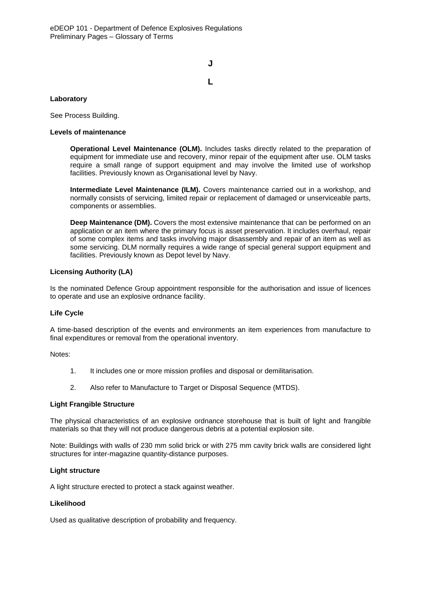**J L**

## **Laboratory**

See Process Building.

### **Levels of maintenance**

**Operational Level Maintenance (OLM).** Includes tasks directly related to the preparation of equipment for immediate use and recovery, minor repair of the equipment after use. OLM tasks require a small range of support equipment and may involve the limited use of workshop facilities. Previously known as Organisational level by Navy.

**Intermediate Level Maintenance (ILM).** Covers maintenance carried out in a workshop, and normally consists of servicing, limited repair or replacement of damaged or unserviceable parts, components or assemblies.

**Deep Maintenance (DM).** Covers the most extensive maintenance that can be performed on an application or an item where the primary focus is asset preservation. It includes overhaul, repair of some complex items and tasks involving major disassembly and repair of an item as well as some servicing. DLM normally requires a wide range of special general support equipment and facilities. Previously known as Depot level by Navy.

### **Licensing Authority (LA)**

Is the nominated Defence Group appointment responsible for the authorisation and issue of licences to operate and use an explosive ordnance facility.

#### **Life Cycle**

A time-based description of the events and environments an item experiences from manufacture to final expenditures or removal from the operational inventory.

Notes:

- 1. It includes one or more mission profiles and disposal or demilitarisation.
- 2. Also refer to Manufacture to Target or Disposal Sequence (MTDS).

#### **Light Frangible Structure**

The physical characteristics of an explosive ordnance storehouse that is built of light and frangible materials so that they will not produce dangerous debris at a potential explosion site.

Note: Buildings with walls of 230 mm solid brick or with 275 mm cavity brick walls are considered light structures for inter-magazine quantity-distance purposes.

### **Light structure**

A light structure erected to protect a stack against weather.

#### **Likelihood**

Used as qualitative description of probability and frequency.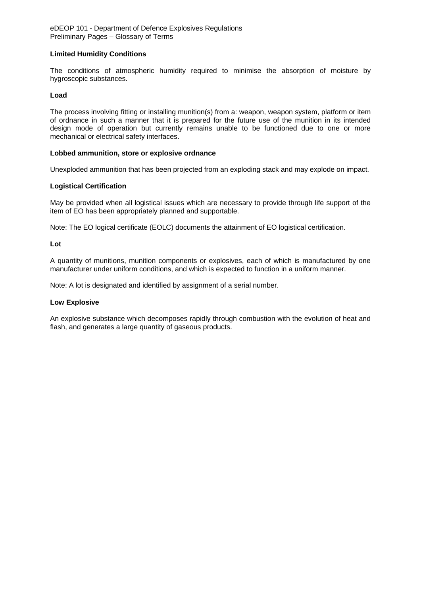### **Limited Humidity Conditions**

The conditions of atmospheric humidity required to minimise the absorption of moisture by hygroscopic substances.

### **Load**

The process involving fitting or installing munition(s) from a: weapon, weapon system, platform or item of ordnance in such a manner that it is prepared for the future use of the munition in its intended design mode of operation but currently remains unable to be functioned due to one or more mechanical or electrical safety interfaces.

#### **Lobbed ammunition, store or explosive ordnance**

Unexploded ammunition that has been projected from an exploding stack and may explode on impact.

### **Logistical Certification**

May be provided when all logistical issues which are necessary to provide through life support of the item of EO has been appropriately planned and supportable.

Note: The EO logical certificate (EOLC) documents the attainment of EO logistical certification.

#### **Lot**

A quantity of munitions, munition components or explosives, each of which is manufactured by one manufacturer under uniform conditions, and which is expected to function in a uniform manner.

Note: A lot is designated and identified by assignment of a serial number.

#### **Low Explosive**

An explosive substance which decomposes rapidly through combustion with the evolution of heat and flash, and generates a large quantity of gaseous products.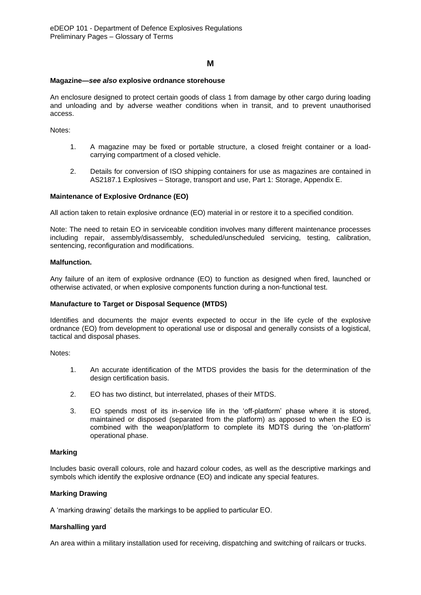## **M**

#### **Magazine—***see also* **explosive ordnance storehouse**

An enclosure designed to protect certain goods of class 1 from damage by other cargo during loading and unloading and by adverse weather conditions when in transit, and to prevent unauthorised access.

Notes:

- 1. A magazine may be fixed or portable structure, a closed freight container or a loadcarrying compartment of a closed vehicle.
- 2. Details for conversion of ISO shipping containers for use as magazines are contained in AS2187.1 Explosives – Storage, transport and use, Part 1: Storage, Appendix E.

#### **Maintenance of Explosive Ordnance (EO)**

All action taken to retain explosive ordnance (EO) material in or restore it to a specified condition.

Note: The need to retain EO in serviceable condition involves many different maintenance processes including repair, assembly/disassembly, scheduled/unscheduled servicing, testing, calibration, sentencing, reconfiguration and modifications.

#### **Malfunction.**

Any failure of an item of explosive ordnance (EO) to function as designed when fired, launched or otherwise activated, or when explosive components function during a non-functional test.

#### **Manufacture to Target or Disposal Sequence (MTDS)**

Identifies and documents the major events expected to occur in the life cycle of the explosive ordnance (EO) from development to operational use or disposal and generally consists of a logistical, tactical and disposal phases.

Notes:

- 1. An accurate identification of the MTDS provides the basis for the determination of the design certification basis.
- 2. EO has two distinct, but interrelated, phases of their MTDS.
- 3. EO spends most of its in-service life in the 'off-platform' phase where it is stored, maintained or disposed (separated from the platform) as apposed to when the EO is combined with the weapon/platform to complete its MDTS during the 'on-platform' operational phase.

#### **Marking**

Includes basic overall colours, role and hazard colour codes, as well as the descriptive markings and symbols which identify the explosive ordnance (EO) and indicate any special features.

#### **Marking Drawing**

A 'marking drawing' details the markings to be applied to particular EO.

#### **Marshalling yard**

An area within a military installation used for receiving, dispatching and switching of railcars or trucks.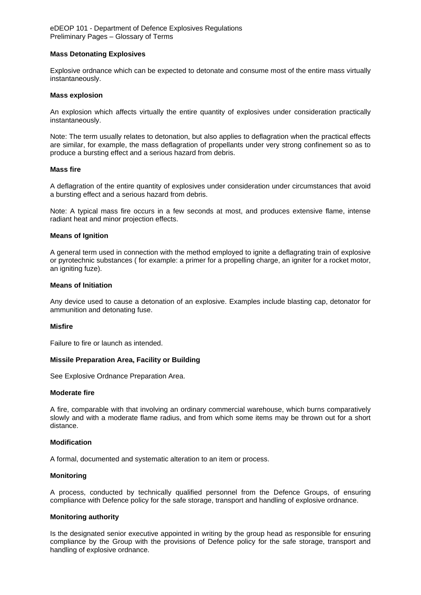#### **Mass Detonating Explosives**

Explosive ordnance which can be expected to detonate and consume most of the entire mass virtually instantaneously.

#### **Mass explosion**

An explosion which affects virtually the entire quantity of explosives under consideration practically instantaneously.

Note: The term usually relates to detonation, but also applies to deflagration when the practical effects are similar, for example, the mass deflagration of propellants under very strong confinement so as to produce a bursting effect and a serious hazard from debris.

#### **Mass fire**

A deflagration of the entire quantity of explosives under consideration under circumstances that avoid a bursting effect and a serious hazard from debris.

Note: A typical mass fire occurs in a few seconds at most, and produces extensive flame, intense radiant heat and minor projection effects.

#### **Means of Ignition**

A general term used in connection with the method employed to ignite a deflagrating train of explosive or pyrotechnic substances ( for example: a primer for a propelling charge, an igniter for a rocket motor, an igniting fuze).

#### **Means of Initiation**

Any device used to cause a detonation of an explosive. Examples include blasting cap, detonator for ammunition and detonating fuse.

#### **Misfire**

Failure to fire or launch as intended.

#### **Missile Preparation Area, Facility or Building**

See Explosive Ordnance Preparation Area.

#### **Moderate fire**

A fire, comparable with that involving an ordinary commercial warehouse, which burns comparatively slowly and with a moderate flame radius, and from which some items may be thrown out for a short distance.

#### **Modification**

A formal, documented and systematic alteration to an item or process.

#### **Monitoring**

A process, conducted by technically qualified personnel from the Defence Groups, of ensuring compliance with Defence policy for the safe storage, transport and handling of explosive ordnance.

#### **Monitoring authority**

Is the designated senior executive appointed in writing by the group head as responsible for ensuring compliance by the Group with the provisions of Defence policy for the safe storage, transport and handling of explosive ordnance.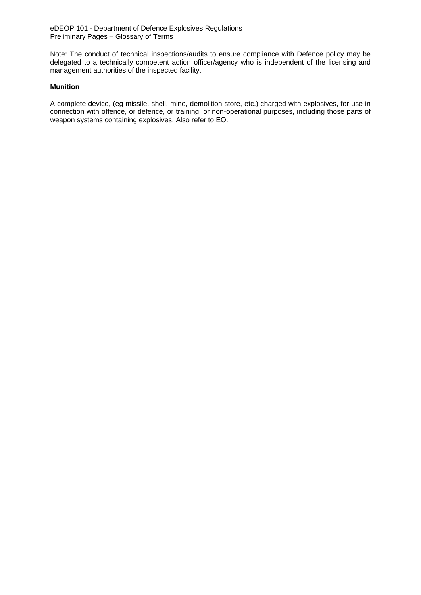Note: The conduct of technical inspections/audits to ensure compliance with Defence policy may be delegated to a technically competent action officer/agency who is independent of the licensing and management authorities of the inspected facility.

### **Munition**

A complete device, (eg missile, shell, mine, demolition store, etc.) charged with explosives, for use in connection with offence, or defence, or training, or non-operational purposes, including those parts of weapon systems containing explosives. Also refer to EO.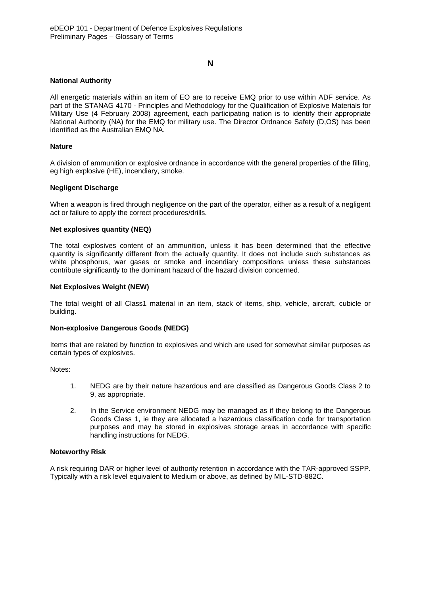### **N**

### **National Authority**

All energetic materials within an item of EO are to receive EMQ prior to use within ADF service. As part of the STANAG 4170 - Principles and Methodology for the Qualification of Explosive Materials for Military Use (4 February 2008) agreement, each participating nation is to identify their appropriate National Authority (NA) for the EMQ for military use. The Director Ordnance Safety (D,OS) has been identified as the Australian EMQ NA.

#### **Nature**

A division of ammunition or explosive ordnance in accordance with the general properties of the filling, eg high explosive (HE), incendiary, smoke.

### **Negligent Discharge**

When a weapon is fired through negligence on the part of the operator, either as a result of a negligent act or failure to apply the correct procedures/drills.

### **Net explosives quantity (NEQ)**

The total explosives content of an ammunition, unless it has been determined that the effective quantity is significantly different from the actually quantity. It does not include such substances as white phosphorus, war gases or smoke and incendiary compositions unless these substances contribute significantly to the dominant hazard of the hazard division concerned.

### **Net Explosives Weight (NEW)**

The total weight of all Class1 material in an item, stack of items, ship, vehicle, aircraft, cubicle or building.

### **Non-explosive Dangerous Goods (NEDG)**

Items that are related by function to explosives and which are used for somewhat similar purposes as certain types of explosives.

Notes:

- 1. NEDG are by their nature hazardous and are classified as Dangerous Goods Class 2 to 9, as appropriate.
- 2. In the Service environment NEDG may be managed as if they belong to the Dangerous Goods Class 1, ie they are allocated a hazardous classification code for transportation purposes and may be stored in explosives storage areas in accordance with specific handling instructions for NEDG.

#### **Noteworthy Risk**

A risk requiring DAR or higher level of authority retention in accordance with the TAR-approved SSPP. Typically with a risk level equivalent to Medium or above, as defined by MIL-STD-882C.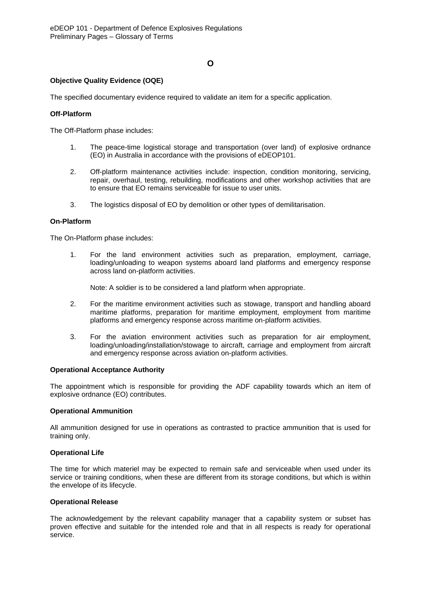## **O**

### **Objective Quality Evidence (OQE)**

The specified documentary evidence required to validate an item for a specific application.

### **Off-Platform**

The Off-Platform phase includes:

- 1. The peace-time logistical storage and transportation (over land) of explosive ordnance (EO) in Australia in accordance with the provisions of eDEOP101.
- 2. Off-platform maintenance activities include: inspection, condition monitoring, servicing, repair, overhaul, testing, rebuilding, modifications and other workshop activities that are to ensure that EO remains serviceable for issue to user units.
- 3. The logistics disposal of EO by demolition or other types of demilitarisation.

#### **On-Platform**

The On-Platform phase includes:

1. For the land environment activities such as preparation, employment, carriage, loading/unloading to weapon systems aboard land platforms and emergency response across land on-platform activities.

Note: A soldier is to be considered a land platform when appropriate.

- 2. For the maritime environment activities such as stowage, transport and handling aboard maritime platforms, preparation for maritime employment, employment from maritime platforms and emergency response across maritime on-platform activities.
- 3. For the aviation environment activities such as preparation for air employment, loading/unloading/installation/stowage to aircraft, carriage and employment from aircraft and emergency response across aviation on-platform activities.

#### **Operational Acceptance Authority**

The appointment which is responsible for providing the ADF capability towards which an item of explosive ordnance (EO) contributes.

#### **Operational Ammunition**

All ammunition designed for use in operations as contrasted to practice ammunition that is used for training only.

#### **Operational Life**

The time for which materiel may be expected to remain safe and serviceable when used under its service or training conditions, when these are different from its storage conditions, but which is within the envelope of its lifecycle.

#### **Operational Release**

The acknowledgement by the relevant capability manager that a capability system or subset has proven effective and suitable for the intended role and that in all respects is ready for operational service.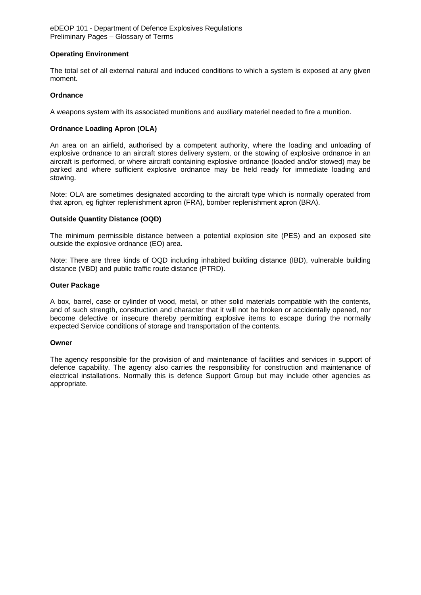### **Operating Environment**

The total set of all external natural and induced conditions to which a system is exposed at any given moment.

### **Ordnance**

A weapons system with its associated munitions and auxiliary materiel needed to fire a munition.

### **Ordnance Loading Apron (OLA)**

An area on an airfield, authorised by a competent authority, where the loading and unloading of explosive ordnance to an aircraft stores delivery system, or the stowing of explosive ordnance in an aircraft is performed, or where aircraft containing explosive ordnance (loaded and/or stowed) may be parked and where sufficient explosive ordnance may be held ready for immediate loading and stowing.

Note: OLA are sometimes designated according to the aircraft type which is normally operated from that apron, eg fighter replenishment apron (FRA), bomber replenishment apron (BRA).

### **Outside Quantity Distance (OQD)**

The minimum permissible distance between a potential explosion site (PES) and an exposed site outside the explosive ordnance (EO) area.

Note: There are three kinds of OQD including inhabited building distance (IBD), vulnerable building distance (VBD) and public traffic route distance (PTRD).

#### **Outer Package**

A box, barrel, case or cylinder of wood, metal, or other solid materials compatible with the contents, and of such strength, construction and character that it will not be broken or accidentally opened, nor become defective or insecure thereby permitting explosive items to escape during the normally expected Service conditions of storage and transportation of the contents.

#### **Owner**

The agency responsible for the provision of and maintenance of facilities and services in support of defence capability. The agency also carries the responsibility for construction and maintenance of electrical installations. Normally this is defence Support Group but may include other agencies as appropriate.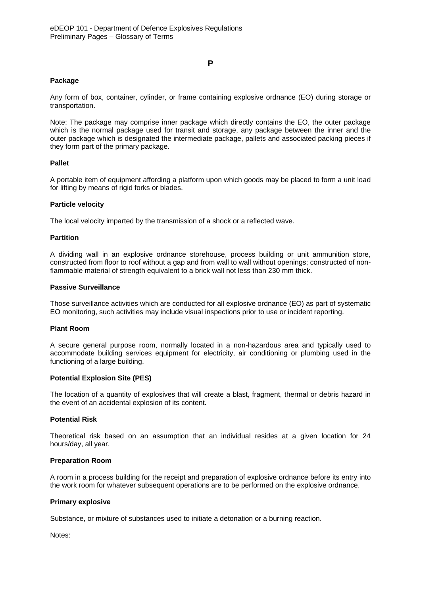#### **P**

#### **Package**

Any form of box, container, cylinder, or frame containing explosive ordnance (EO) during storage or transportation.

Note: The package may comprise inner package which directly contains the EO, the outer package which is the normal package used for transit and storage, any package between the inner and the outer package which is designated the intermediate package, pallets and associated packing pieces if they form part of the primary package.

### **Pallet**

A portable item of equipment affording a platform upon which goods may be placed to form a unit load for lifting by means of rigid forks or blades.

#### **Particle velocity**

The local velocity imparted by the transmission of a shock or a reflected wave.

#### **Partition**

A dividing wall in an explosive ordnance storehouse, process building or unit ammunition store, constructed from floor to roof without a gap and from wall to wall without openings; constructed of nonflammable material of strength equivalent to a brick wall not less than 230 mm thick.

#### **Passive Surveillance**

Those surveillance activities which are conducted for all explosive ordnance (EO) as part of systematic EO monitoring, such activities may include visual inspections prior to use or incident reporting.

#### **Plant Room**

A secure general purpose room, normally located in a non-hazardous area and typically used to accommodate building services equipment for electricity, air conditioning or plumbing used in the functioning of a large building.

#### **Potential Explosion Site (PES)**

The location of a quantity of explosives that will create a blast, fragment, thermal or debris hazard in the event of an accidental explosion of its content.

#### **Potential Risk**

Theoretical risk based on an assumption that an individual resides at a given location for 24 hours/day, all year.

#### **Preparation Room**

A room in a process building for the receipt and preparation of explosive ordnance before its entry into the work room for whatever subsequent operations are to be performed on the explosive ordnance.

#### **Primary explosive**

Substance, or mixture of substances used to initiate a detonation or a burning reaction.

Notes: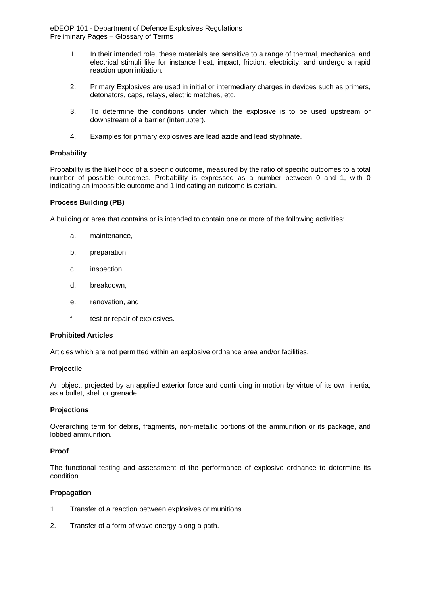- 1. In their intended role, these materials are sensitive to a range of thermal, mechanical and electrical stimuli like for instance heat, impact, friction, electricity, and undergo a rapid reaction upon initiation.
- 2. Primary Explosives are used in initial or intermediary charges in devices such as primers, detonators, caps, relays, electric matches, etc.
- 3. To determine the conditions under which the explosive is to be used upstream or downstream of a barrier (interrupter).
- 4. Examples for primary explosives are lead azide and lead styphnate.

## **Probability**

Probability is the likelihood of a specific outcome, measured by the ratio of specific outcomes to a total number of possible outcomes. Probability is expressed as a number between 0 and 1, with 0 indicating an impossible outcome and 1 indicating an outcome is certain.

## **Process Building (PB)**

A building or area that contains or is intended to contain one or more of the following activities:

- a. maintenance,
- b. preparation,
- c. inspection,
- d. breakdown,
- e. renovation, and
- f. test or repair of explosives.

#### **Prohibited Articles**

Articles which are not permitted within an explosive ordnance area and/or facilities.

## **Projectile**

An object, projected by an applied exterior force and continuing in motion by virtue of its own inertia, as a bullet, shell or grenade.

#### **Projections**

Overarching term for debris, fragments, non-metallic portions of the ammunition or its package, and lobbed ammunition.

## **Proof**

The functional testing and assessment of the performance of explosive ordnance to determine its condition.

## **Propagation**

- 1. Transfer of a reaction between explosives or munitions.
- 2. Transfer of a form of wave energy along a path.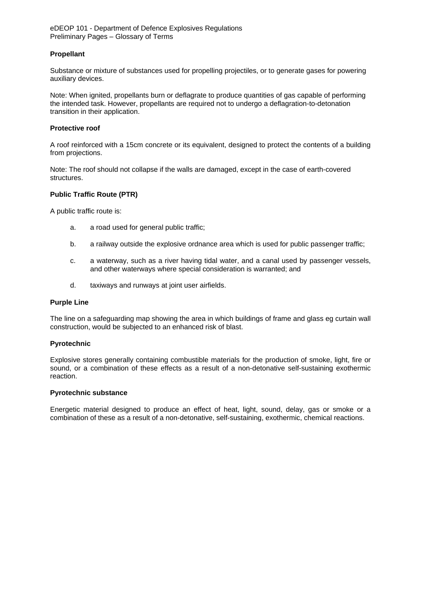### **Propellant**

Substance or mixture of substances used for propelling projectiles, or to generate gases for powering auxiliary devices.

Note: When ignited, propellants burn or deflagrate to produce quantities of gas capable of performing the intended task. However, propellants are required not to undergo a deflagration-to-detonation transition in their application.

#### **Protective roof**

A roof reinforced with a 15cm concrete or its equivalent, designed to protect the contents of a building from projections.

Note: The roof should not collapse if the walls are damaged, except in the case of earth-covered structures.

### **Public Traffic Route (PTR)**

A public traffic route is:

- a. a road used for general public traffic;
- b. a railway outside the explosive ordnance area which is used for public passenger traffic;
- c. a waterway, such as a river having tidal water, and a canal used by passenger vessels, and other waterways where special consideration is warranted; and
- d. taxiways and runways at joint user airfields.

#### **Purple Line**

The line on a safeguarding map showing the area in which buildings of frame and glass eg curtain wall construction, would be subjected to an enhanced risk of blast.

### **Pyrotechnic**

Explosive stores generally containing combustible materials for the production of smoke, light, fire or sound, or a combination of these effects as a result of a non-detonative self-sustaining exothermic reaction.

#### **Pyrotechnic substance**

Energetic material designed to produce an effect of heat, light, sound, delay, gas or smoke or a combination of these as a result of a non-detonative, self-sustaining, exothermic, chemical reactions.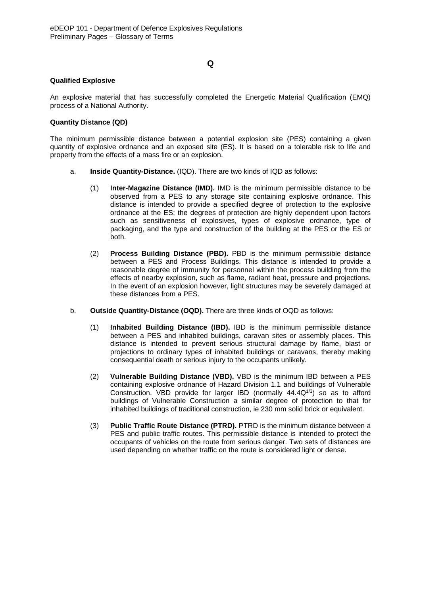## **Q**

### **Qualified Explosive**

An explosive material that has successfully completed the Energetic Material Qualification (EMQ) process of a National Authority.

### **Quantity Distance (QD)**

The minimum permissible distance between a potential explosion site (PES) containing a given quantity of explosive ordnance and an exposed site (ES). It is based on a tolerable risk to life and property from the effects of a mass fire or an explosion.

- a. **Inside Quantity-Distance.** (IQD). There are two kinds of IQD as follows:
	- (1) **Inter-Magazine Distance (IMD).** IMD is the minimum permissible distance to be observed from a PES to any storage site containing explosive ordnance. This distance is intended to provide a specified degree of protection to the explosive ordnance at the ES; the degrees of protection are highly dependent upon factors such as sensitiveness of explosives, types of explosive ordnance, type of packaging, and the type and construction of the building at the PES or the ES or both.
	- (2) **Process Building Distance (PBD).** PBD is the minimum permissible distance between a PES and Process Buildings. This distance is intended to provide a reasonable degree of immunity for personnel within the process building from the effects of nearby explosion, such as flame, radiant heat, pressure and projections. In the event of an explosion however, light structures may be severely damaged at these distances from a PES.
- b. **Outside Quantity-Distance (OQD).** There are three kinds of OQD as follows:
	- (1) **Inhabited Building Distance (IBD).** IBD is the minimum permissible distance between a PES and inhabited buildings, caravan sites or assembly places. This distance is intended to prevent serious structural damage by flame, blast or projections to ordinary types of inhabited buildings or caravans, thereby making consequential death or serious injury to the occupants unlikely.
	- (2) **Vulnerable Building Distance (VBD).** VBD is the minimum IBD between a PES containing explosive ordnance of Hazard Division 1.1 and buildings of Vulnerable Construction. VBD provide for larger IBD (normally  $44.4Q^{1/3}$ ) so as to afford buildings of Vulnerable Construction a similar degree of protection to that for inhabited buildings of traditional construction, ie 230 mm solid brick or equivalent.
	- (3) **Public Traffic Route Distance (PTRD).** PTRD is the minimum distance between a PES and public traffic routes. This permissible distance is intended to protect the occupants of vehicles on the route from serious danger. Two sets of distances are used depending on whether traffic on the route is considered light or dense.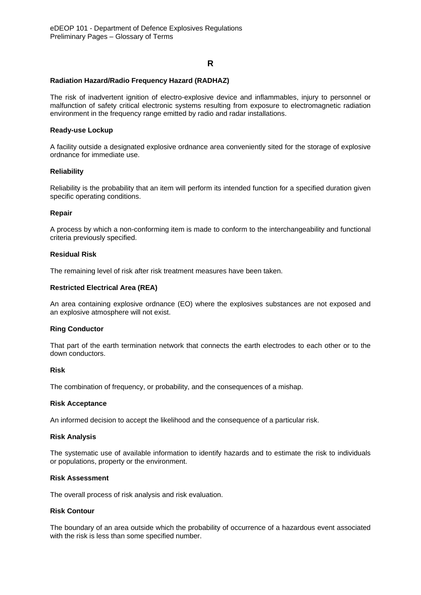## **R**

#### **Radiation Hazard/Radio Frequency Hazard (RADHAZ)**

The risk of inadvertent ignition of electro-explosive device and inflammables, injury to personnel or malfunction of safety critical electronic systems resulting from exposure to electromagnetic radiation environment in the frequency range emitted by radio and radar installations.

### **Ready-use Lockup**

A facility outside a designated explosive ordnance area conveniently sited for the storage of explosive ordnance for immediate use.

#### **Reliability**

Reliability is the probability that an item will perform its intended function for a specified duration given specific operating conditions.

#### **Repair**

A process by which a non-conforming item is made to conform to the interchangeability and functional criteria previously specified.

### **Residual Risk**

The remaining level of risk after risk treatment measures have been taken.

### **Restricted Electrical Area (REA)**

An area containing explosive ordnance (EO) where the explosives substances are not exposed and an explosive atmosphere will not exist.

#### **Ring Conductor**

That part of the earth termination network that connects the earth electrodes to each other or to the down conductors.

### **Risk**

The combination of frequency, or probability, and the consequences of a mishap.

#### **Risk Acceptance**

An informed decision to accept the likelihood and the consequence of a particular risk.

#### **Risk Analysis**

The systematic use of available information to identify hazards and to estimate the risk to individuals or populations, property or the environment.

#### **Risk Assessment**

The overall process of risk analysis and risk evaluation.

## **Risk Contour**

The boundary of an area outside which the probability of occurrence of a hazardous event associated with the risk is less than some specified number.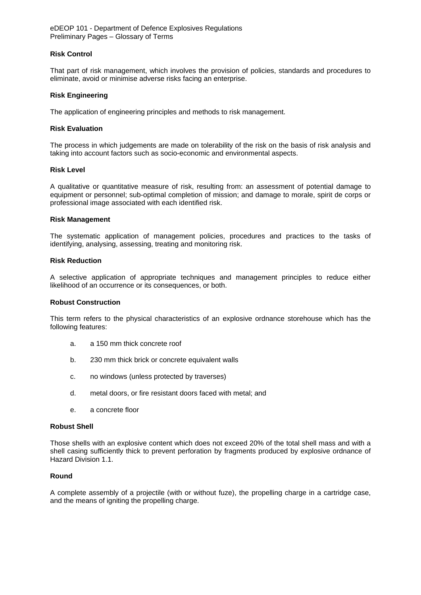#### **Risk Control**

That part of risk management, which involves the provision of policies, standards and procedures to eliminate, avoid or minimise adverse risks facing an enterprise.

### **Risk Engineering**

The application of engineering principles and methods to risk management.

#### **Risk Evaluation**

The process in which judgements are made on tolerability of the risk on the basis of risk analysis and taking into account factors such as socio-economic and environmental aspects.

#### **Risk Level**

A qualitative or quantitative measure of risk, resulting from: an assessment of potential damage to equipment or personnel; sub-optimal completion of mission; and damage to morale, spirit de corps or professional image associated with each identified risk.

#### **Risk Management**

The systematic application of management policies, procedures and practices to the tasks of identifying, analysing, assessing, treating and monitoring risk.

#### **Risk Reduction**

A selective application of appropriate techniques and management principles to reduce either likelihood of an occurrence or its consequences, or both.

#### **Robust Construction**

This term refers to the physical characteristics of an explosive ordnance storehouse which has the following features:

- a. a 150 mm thick concrete roof
- b. 230 mm thick brick or concrete equivalent walls
- c. no windows (unless protected by traverses)
- d. metal doors, or fire resistant doors faced with metal; and
- e. a concrete floor

#### **Robust Shell**

Those shells with an explosive content which does not exceed 20% of the total shell mass and with a shell casing sufficiently thick to prevent perforation by fragments produced by explosive ordnance of Hazard Division 1.1.

#### **Round**

A complete assembly of a projectile (with or without fuze), the propelling charge in a cartridge case, and the means of igniting the propelling charge.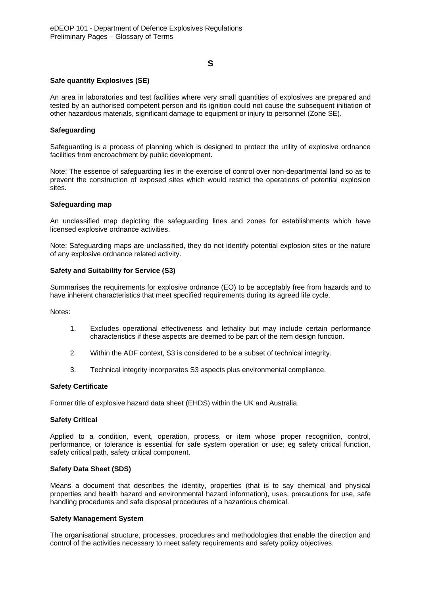## **S**

### **Safe quantity Explosives (SE)**

An area in laboratories and test facilities where very small quantities of explosives are prepared and tested by an authorised competent person and its ignition could not cause the subsequent initiation of other hazardous materials, significant damage to equipment or injury to personnel (Zone SE).

### **Safeguarding**

Safeguarding is a process of planning which is designed to protect the utility of explosive ordnance facilities from encroachment by public development.

Note: The essence of safeguarding lies in the exercise of control over non-departmental land so as to prevent the construction of exposed sites which would restrict the operations of potential explosion sites.

#### **Safeguarding map**

An unclassified map depicting the safeguarding lines and zones for establishments which have licensed explosive ordnance activities.

Note: Safeguarding maps are unclassified, they do not identify potential explosion sites or the nature of any explosive ordnance related activity.

#### **Safety and Suitability for Service (S3)**

Summarises the requirements for explosive ordnance (EO) to be acceptably free from hazards and to have inherent characteristics that meet specified requirements during its agreed life cycle.

Notes:

- 1. Excludes operational effectiveness and lethality but may include certain performance characteristics if these aspects are deemed to be part of the item design function.
- 2. Within the ADF context, S3 is considered to be a subset of technical integrity.
- 3. Technical integrity incorporates S3 aspects plus environmental compliance.

#### **Safety Certificate**

Former title of explosive hazard data sheet (EHDS) within the UK and Australia.

#### **Safety Critical**

Applied to a condition, event, operation, process, or item whose proper recognition, control, performance, or tolerance is essential for safe system operation or use; eg safety critical function, safety critical path, safety critical component.

### **Safety Data Sheet (SDS)**

Means a document that describes the identity, properties (that is to say chemical and physical properties and health hazard and environmental hazard information), uses, precautions for use, safe handling procedures and safe disposal procedures of a hazardous chemical.

#### **Safety Management System**

The organisational structure, processes, procedures and methodologies that enable the direction and control of the activities necessary to meet safety requirements and safety policy objectives.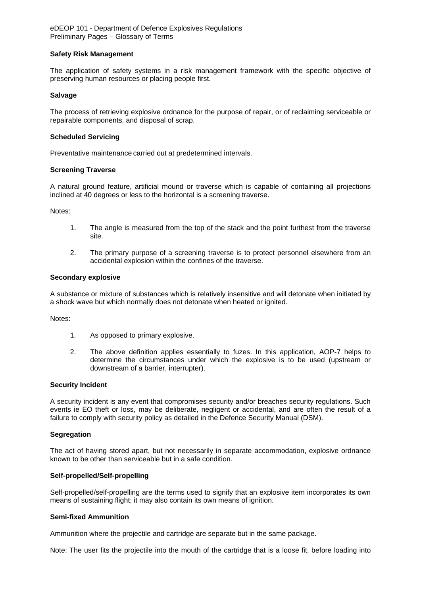#### **Safety Risk Management**

The application of safety systems in a risk management framework with the specific objective of preserving human resources or placing people first.

### **Salvage**

The process of retrieving explosive ordnance for the purpose of repair, or of reclaiming serviceable or repairable components, and disposal of scrap.

#### **Scheduled Servicing**

Preventative maintenance carried out at predetermined intervals.

### **Screening Traverse**

A natural ground feature, artificial mound or traverse which is capable of containing all projections inclined at 40 degrees or less to the horizontal is a screening traverse.

Notes:

- 1. The angle is measured from the top of the stack and the point furthest from the traverse site.
- 2. The primary purpose of a screening traverse is to protect personnel elsewhere from an accidental explosion within the confines of the traverse.

#### **Secondary explosive**

A substance or mixture of substances which is relatively insensitive and will detonate when initiated by a shock wave but which normally does not detonate when heated or ignited.

Notes:

- 1. As opposed to primary explosive.
- 2. The above definition applies essentially to fuzes. In this application, AOP-7 helps to determine the circumstances under which the explosive is to be used (upstream or downstream of a barrier, interrupter).

#### **Security Incident**

A security incident is any event that compromises security and/or breaches security regulations. Such events ie EO theft or loss, may be deliberate, negligent or accidental, and are often the result of a failure to comply with security policy as detailed in the Defence Security Manual (DSM).

#### **Segregation**

The act of having stored apart, but not necessarily in separate accommodation, explosive ordnance known to be other than serviceable but in a safe condition.

#### **Self-propelled/Self-propelling**

Self-propelled/self-propelling are the terms used to signify that an explosive item incorporates its own means of sustaining flight; it may also contain its own means of ignition.

#### **Semi-fixed Ammunition**

Ammunition where the projectile and cartridge are separate but in the same package.

Note: The user fits the projectile into the mouth of the cartridge that is a loose fit, before loading into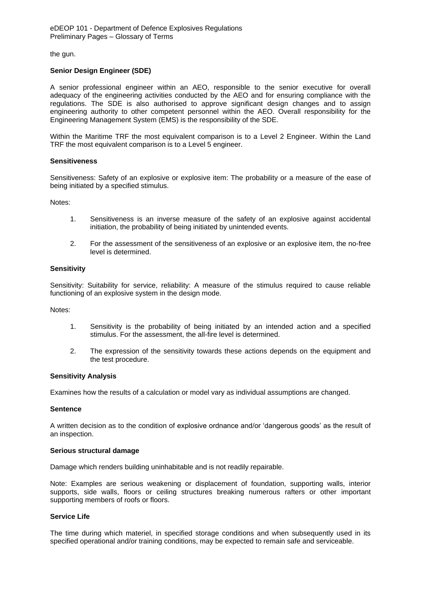the gun.

### **Senior Design Engineer (SDE)**

A senior professional engineer within an AEO, responsible to the senior executive for overall adequacy of the engineering activities conducted by the AEO and for ensuring compliance with the regulations. The SDE is also authorised to approve significant design changes and to assign engineering authority to other competent personnel within the AEO. Overall responsibility for the Engineering Management System (EMS) is the responsibility of the SDE.

Within the Maritime TRF the most equivalent comparison is to a Level 2 Engineer. Within the Land TRF the most equivalent comparison is to a Level 5 engineer.

#### **Sensitiveness**

Sensitiveness: Safety of an explosive or explosive item: The probability or a measure of the ease of being initiated by a specified stimulus.

Notes:

- 1. Sensitiveness is an inverse measure of the safety of an explosive against accidental initiation, the probability of being initiated by unintended events.
- 2. For the assessment of the sensitiveness of an explosive or an explosive item, the no-free level is determined.

#### **Sensitivity**

Sensitivity: Suitability for service, reliability: A measure of the stimulus required to cause reliable functioning of an explosive system in the design mode.

Notes:

- 1. Sensitivity is the probability of being initiated by an intended action and a specified stimulus. For the assessment, the all-fire level is determined.
- 2. The expression of the sensitivity towards these actions depends on the equipment and the test procedure.

#### **Sensitivity Analysis**

Examines how the results of a calculation or model vary as individual assumptions are changed.

#### **Sentence**

A written decision as to the condition of explosive ordnance and/or 'dangerous goods' as the result of an inspection.

#### **Serious structural damage**

Damage which renders building uninhabitable and is not readily repairable.

Note: Examples are serious weakening or displacement of foundation, supporting walls, interior supports, side walls, floors or ceiling structures breaking numerous rafters or other important supporting members of roofs or floors.

#### **Service Life**

The time during which materiel, in specified storage conditions and when subsequently used in its specified operational and/or training conditions, may be expected to remain safe and serviceable.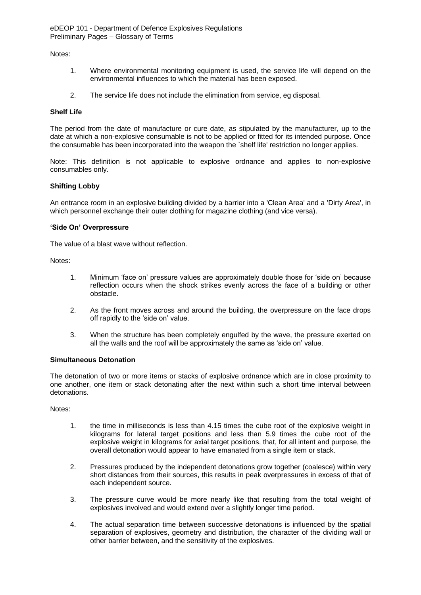Notes:

- 1. Where environmental monitoring equipment is used, the service life will depend on the environmental influences to which the material has been exposed.
- 2. The service life does not include the elimination from service, eg disposal.

#### **Shelf Life**

The period from the date of manufacture or cure date, as stipulated by the manufacturer, up to the date at which a non-explosive consumable is not to be applied or fitted for its intended purpose. Once the consumable has been incorporated into the weapon the `shelf life' restriction no longer applies.

Note: This definition is not applicable to explosive ordnance and applies to non-explosive consumables only.

#### **Shifting Lobby**

An entrance room in an explosive building divided by a barrier into a 'Clean Area' and a 'Dirty Area', in which personnel exchange their outer clothing for magazine clothing (and vice versa).

#### **'Side On' Overpressure**

The value of a blast wave without reflection.

Notes:

- 1. Minimum 'face on' pressure values are approximately double those for 'side on' because reflection occurs when the shock strikes evenly across the face of a building or other obstacle.
- 2. As the front moves across and around the building, the overpressure on the face drops off rapidly to the 'side on' value.
- 3. When the structure has been completely engulfed by the wave, the pressure exerted on all the walls and the roof will be approximately the same as 'side on' value.

#### **Simultaneous Detonation**

The detonation of two or more items or stacks of explosive ordnance which are in close proximity to one another, one item or stack detonating after the next within such a short time interval between detonations.

Notes:

- 1. the time in milliseconds is less than 4.15 times the cube root of the explosive weight in kilograms for lateral target positions and less than 5.9 times the cube root of the explosive weight in kilograms for axial target positions, that, for all intent and purpose, the overall detonation would appear to have emanated from a single item or stack.
- 2. Pressures produced by the independent detonations grow together (coalesce) within very short distances from their sources, this results in peak overpressures in excess of that of each independent source.
- 3. The pressure curve would be more nearly like that resulting from the total weight of explosives involved and would extend over a slightly longer time period.
- 4. The actual separation time between successive detonations is influenced by the spatial separation of explosives, geometry and distribution, the character of the dividing wall or other barrier between, and the sensitivity of the explosives.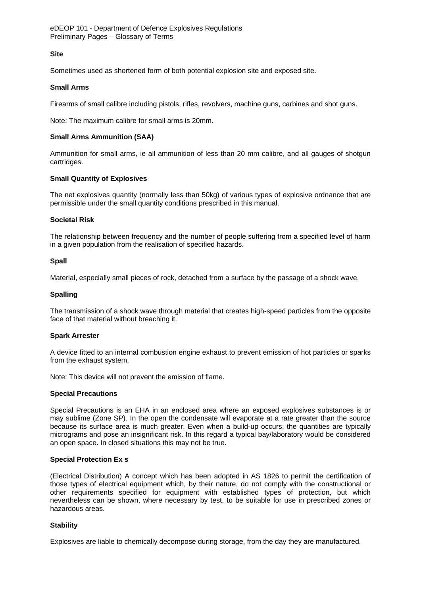### **Site**

Sometimes used as shortened form of both potential explosion site and exposed site.

### **Small Arms**

Firearms of small calibre including pistols, rifles, revolvers, machine guns, carbines and shot guns.

Note: The maximum calibre for small arms is 20mm.

### **Small Arms Ammunition (SAA)**

Ammunition for small arms, ie all ammunition of less than 20 mm calibre, and all gauges of shotgun cartridges.

### **Small Quantity of Explosives**

The net explosives quantity (normally less than 50kg) of various types of explosive ordnance that are permissible under the small quantity conditions prescribed in this manual.

#### **Societal Risk**

The relationship between frequency and the number of people suffering from a specified level of harm in a given population from the realisation of specified hazards.

#### **Spall**

Material, especially small pieces of rock, detached from a surface by the passage of a shock wave.

#### **Spalling**

The transmission of a shock wave through material that creates high-speed particles from the opposite face of that material without breaching it.

#### **Spark Arrester**

A device fitted to an internal combustion engine exhaust to prevent emission of hot particles or sparks from the exhaust system.

Note: This device will not prevent the emission of flame.

#### **Special Precautions**

Special Precautions is an EHA in an enclosed area where an exposed explosives substances is or may sublime (Zone SP). In the open the condensate will evaporate at a rate greater than the source because its surface area is much greater. Even when a build-up occurs, the quantities are typically micrograms and pose an insignificant risk. In this regard a typical bay/laboratory would be considered an open space. In closed situations this may not be true.

#### **Special Protection Ex s**

(Electrical Distribution) A concept which has been adopted in AS 1826 to permit the certification of those types of electrical equipment which, by their nature, do not comply with the constructional or other requirements specified for equipment with established types of protection, but which nevertheless can be shown, where necessary by test, to be suitable for use in prescribed zones or hazardous areas.

## **Stability**

Explosives are liable to chemically decompose during storage, from the day they are manufactured.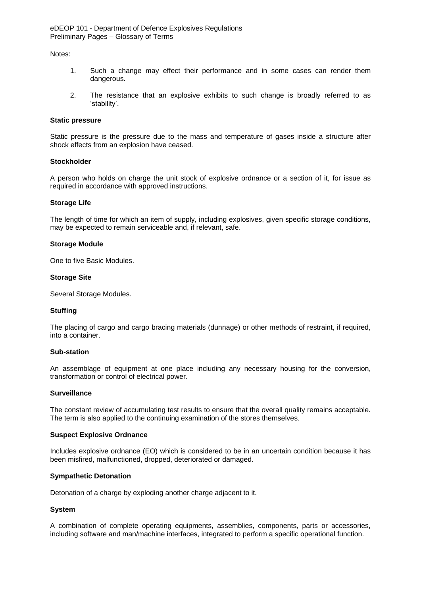Notes:

- 1. Such a change may effect their performance and in some cases can render them dangerous.
- 2. The resistance that an explosive exhibits to such change is broadly referred to as 'stability'.

#### **Static pressure**

Static pressure is the pressure due to the mass and temperature of gases inside a structure after shock effects from an explosion have ceased.

#### **Stockholder**

A person who holds on charge the unit stock of explosive ordnance or a section of it, for issue as required in accordance with approved instructions.

#### **Storage Life**

The length of time for which an item of supply, including explosives, given specific storage conditions, may be expected to remain serviceable and, if relevant, safe.

#### **Storage Module**

One to five Basic Modules.

#### **Storage Site**

Several Storage Modules.

#### **Stuffing**

The placing of cargo and cargo bracing materials (dunnage) or other methods of restraint, if required, into a container.

### **Sub-station**

An assemblage of equipment at one place including any necessary housing for the conversion, transformation or control of electrical power.

#### **Surveillance**

The constant review of accumulating test results to ensure that the overall quality remains acceptable. The term is also applied to the continuing examination of the stores themselves.

#### **Suspect Explosive Ordnance**

Includes explosive ordnance (EO) which is considered to be in an uncertain condition because it has been misfired, malfunctioned, dropped, deteriorated or damaged.

#### **Sympathetic Detonation**

Detonation of a charge by exploding another charge adjacent to it.

#### **System**

A combination of complete operating equipments, assemblies, components, parts or accessories, including software and man/machine interfaces, integrated to perform a specific operational function.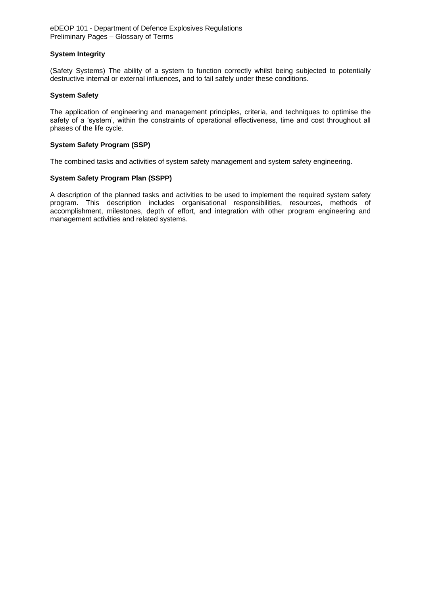## **System Integrity**

(Safety Systems) The ability of a system to function correctly whilst being subjected to potentially destructive internal or external influences, and to fail safely under these conditions.

### **System Safety**

The application of engineering and management principles, criteria, and techniques to optimise the safety of a 'system', within the constraints of operational effectiveness, time and cost throughout all phases of the life cycle.

### **System Safety Program (SSP)**

The combined tasks and activities of system safety management and system safety engineering.

### **System Safety Program Plan (SSPP)**

A description of the planned tasks and activities to be used to implement the required system safety program. This description includes organisational responsibilities, resources, methods of accomplishment, milestones, depth of effort, and integration with other program engineering and management activities and related systems.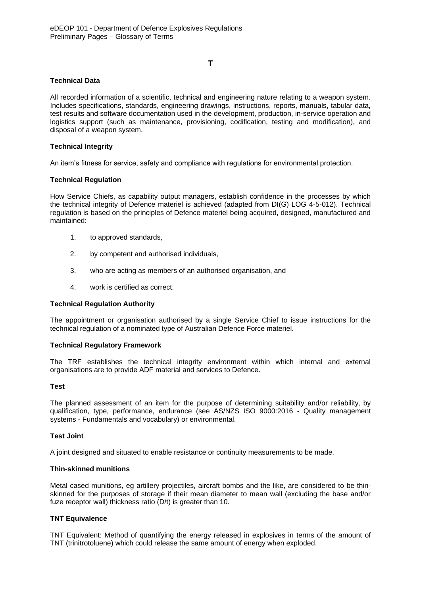## **T**

### **Technical Data**

All recorded information of a scientific, technical and engineering nature relating to a weapon system. Includes specifications, standards, engineering drawings, instructions, reports, manuals, tabular data, test results and software documentation used in the development, production, in-service operation and logistics support (such as maintenance, provisioning, codification, testing and modification), and disposal of a weapon system.

### **Technical Integrity**

An item's fitness for service, safety and compliance with regulations for environmental protection.

### **Technical Regulation**

How Service Chiefs, as capability output managers, establish confidence in the processes by which the technical integrity of Defence materiel is achieved (adapted from DI(G) LOG 4-5-012). Technical regulation is based on the principles of Defence materiel being acquired, designed, manufactured and maintained:

- 1. to approved standards,
- 2. by competent and authorised individuals,
- 3. who are acting as members of an authorised organisation, and
- 4. work is certified as correct.

#### **Technical Regulation Authority**

The appointment or organisation authorised by a single Service Chief to issue instructions for the technical regulation of a nominated type of Australian Defence Force materiel.

#### **Technical Regulatory Framework**

The TRF establishes the technical integrity environment within which internal and external organisations are to provide ADF material and services to Defence.

#### **Test**

The planned assessment of an item for the purpose of determining suitability and/or reliability, by qualification, type, performance, endurance (see AS/NZS ISO 9000:2016 - Quality management systems - Fundamentals and vocabulary) or environmental.

#### **Test Joint**

A joint designed and situated to enable resistance or continuity measurements to be made.

#### **Thin-skinned munitions**

Metal cased munitions, eg artillery projectiles, aircraft bombs and the like, are considered to be thinskinned for the purposes of storage if their mean diameter to mean wall (excluding the base and/or fuze receptor wall) thickness ratio (D/t) is greater than 10.

## **TNT Equivalence**

TNT Equivalent: Method of quantifying the energy released in explosives in terms of the amount of TNT (trinitrotoluene) which could release the same amount of energy when exploded.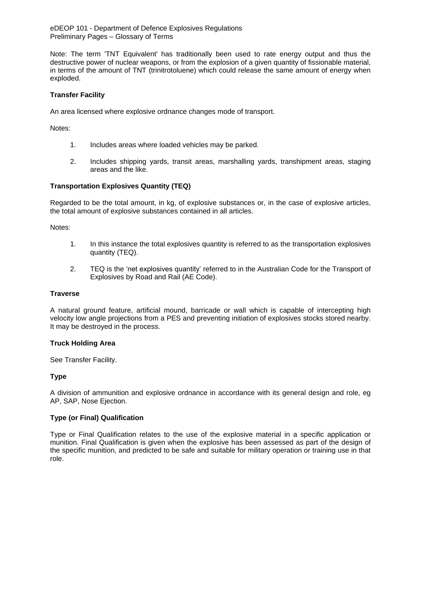Note: The term 'TNT Equivalent' has traditionally been used to rate energy output and thus the destructive power of nuclear weapons, or from the explosion of a given quantity of fissionable material, in terms of the amount of TNT (trinitrotoluene) which could release the same amount of energy when exploded.

### **Transfer Facility**

An area licensed where explosive ordnance changes mode of transport.

Notes:

- 1. Includes areas where loaded vehicles may be parked.
- 2. Includes shipping yards, transit areas, marshalling yards, transhipment areas, staging areas and the like.

### **Transportation Explosives Quantity (TEQ)**

Regarded to be the total amount, in kg, of explosive substances or, in the case of explosive articles, the total amount of explosive substances contained in all articles.

Notes:

- 1. In this instance the total explosives quantity is referred to as the transportation explosives quantity (TEQ).
- 2. TEQ is the 'net explosives quantity' referred to in the Australian Code for the Transport of Explosives by Road and Rail (AE Code).

#### **Traverse**

A natural ground feature, artificial mound, barricade or wall which is capable of intercepting high velocity low angle projections from a PES and preventing initiation of explosives stocks stored nearby. It may be destroyed in the process.

#### **Truck Holding Area**

See Transfer Facility.

## **Type**

A division of ammunition and explosive ordnance in accordance with its general design and role, eg AP, SAP, Nose Ejection.

#### **Type (or Final) Qualification**

Type or Final Qualification relates to the use of the explosive material in a specific application or munition. Final Qualification is given when the explosive has been assessed as part of the design of the specific munition, and predicted to be safe and suitable for military operation or training use in that role.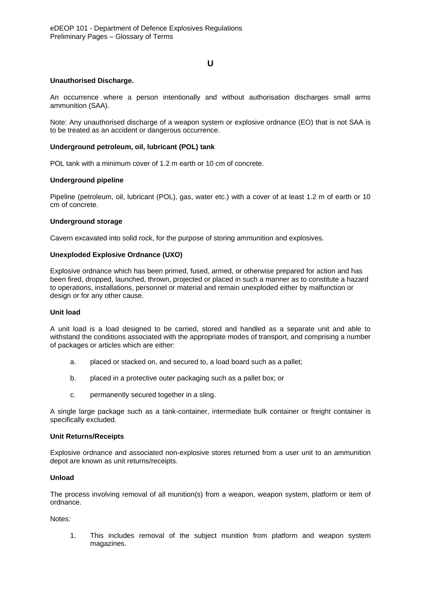### **U**

### **Unauthorised Discharge.**

An occurrence where a person intentionally and without authorisation discharges small arms ammunition (SAA).

Note: Any unauthorised discharge of a weapon system or explosive ordnance (EO) that is not SAA is to be treated as an accident or dangerous occurrence.

### **Underground petroleum, oil, lubricant (POL) tank**

POL tank with a minimum cover of 1.2 m earth or 10 cm of concrete.

### **Underground pipeline**

Pipeline (petroleum, oil, lubricant (POL), gas, water etc.) with a cover of at least 1.2 m of earth or 10 cm of concrete.

#### **Underground storage**

Cavern excavated into solid rock, for the purpose of storing ammunition and explosives.

### **Unexploded Explosive Ordnance (UXO)**

Explosive ordnance which has been primed, fused, armed, or otherwise prepared for action and has been fired, dropped, launched, thrown, projected or placed in such a manner as to constitute a hazard to operations, installations, personnel or material and remain unexploded either by malfunction or design or for any other cause.

#### **Unit load**

A unit load is a load designed to be carried, stored and handled as a separate unit and able to withstand the conditions associated with the appropriate modes of transport, and comprising a number of packages or articles which are either:

- a. placed or stacked on, and secured to, a load board such as a pallet;
- b. placed in a protective outer packaging such as a pallet box; or
- c. permanently secured together in a sling.

A single large package such as a tank-container, intermediate bulk container or freight container is specifically excluded.

#### **Unit Returns/Receipts**

Explosive ordnance and associated non-explosive stores returned from a user unit to an ammunition depot are known as unit returns/receipts.

#### **Unload**

The process involving removal of all munition(s) from a weapon, weapon system, platform or item of ordnance.

Notes:

1. This includes removal of the subject munition from platform and weapon system magazines.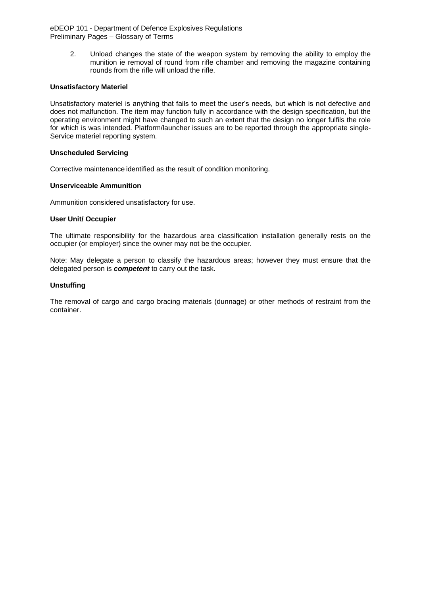> 2. Unload changes the state of the weapon system by removing the ability to employ the munition ie removal of round from rifle chamber and removing the magazine containing rounds from the rifle will unload the rifle.

### **Unsatisfactory Materiel**

Unsatisfactory materiel is anything that fails to meet the user's needs, but which is not defective and does not malfunction. The item may function fully in accordance with the design specification, but the operating environment might have changed to such an extent that the design no longer fulfils the role for which is was intended. Platform/launcher issues are to be reported through the appropriate single-Service materiel reporting system.

### **Unscheduled Servicing**

Corrective maintenance identified as the result of condition monitoring.

### **Unserviceable Ammunition**

Ammunition considered unsatisfactory for use.

### **User Unit/ Occupier**

The ultimate responsibility for the hazardous area classification installation generally rests on the occupier (or employer) since the owner may not be the occupier.

Note: May delegate a person to classify the hazardous areas; however they must ensure that the delegated person is *competent* to carry out the task.

### **Unstuffing**

The removal of cargo and cargo bracing materials (dunnage) or other methods of restraint from the container.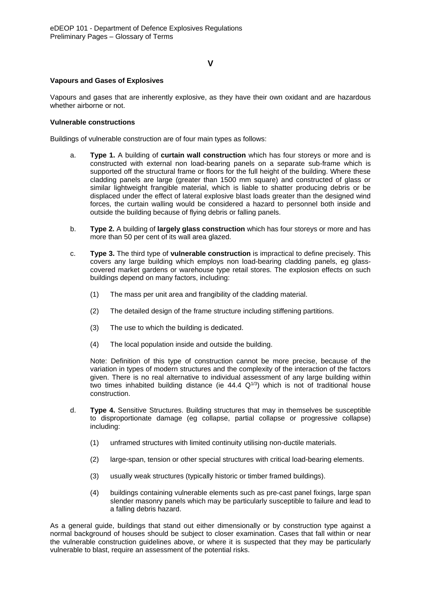## **V**

### **Vapours and Gases of Explosives**

Vapours and gases that are inherently explosive, as they have their own oxidant and are hazardous whether airborne or not.

### **Vulnerable constructions**

Buildings of vulnerable construction are of four main types as follows:

- a. **Type 1.** A building of **curtain wall construction** which has four storeys or more and is constructed with external non load-bearing panels on a separate sub-frame which is supported off the structural frame or floors for the full height of the building. Where these cladding panels are large (greater than 1500 mm square) and constructed of glass or similar lightweight frangible material, which is liable to shatter producing debris or be displaced under the effect of lateral explosive blast loads greater than the designed wind forces, the curtain walling would be considered a hazard to personnel both inside and outside the building because of flying debris or falling panels.
- b. **Type 2.** A building of **largely glass construction** which has four storeys or more and has more than 50 per cent of its wall area glazed.
- c. **Type 3.** The third type of **vulnerable construction** is impractical to define precisely. This covers any large building which employs non load-bearing cladding panels, eg glasscovered market gardens or warehouse type retail stores. The explosion effects on such buildings depend on many factors, including:
	- (1) The mass per unit area and frangibility of the cladding material.
	- (2) The detailed design of the frame structure including stiffening partitions.
	- (3) The use to which the building is dedicated.
	- (4) The local population inside and outside the building.

Note: Definition of this type of construction cannot be more precise, because of the variation in types of modern structures and the complexity of the interaction of the factors given. There is no real alternative to individual assessment of any large building within two times inhabited building distance (ie  $44.4 \text{ Q}^{1/3}$ ) which is not of traditional house construction.

- d. **Type 4.** Sensitive Structures. Building structures that may in themselves be susceptible to disproportionate damage (eg collapse, partial collapse or progressive collapse) including:
	- (1) unframed structures with limited continuity utilising non-ductile materials.
	- (2) large-span, tension or other special structures with critical load-bearing elements.
	- (3) usually weak structures (typically historic or timber framed buildings).
	- (4) buildings containing vulnerable elements such as pre-cast panel fixings, large span slender masonry panels which may be particularly susceptible to failure and lead to a falling debris hazard.

As a general guide, buildings that stand out either dimensionally or by construction type against a normal background of houses should be subject to closer examination. Cases that fall within or near the vulnerable construction guidelines above, or where it is suspected that they may be particularly vulnerable to blast, require an assessment of the potential risks.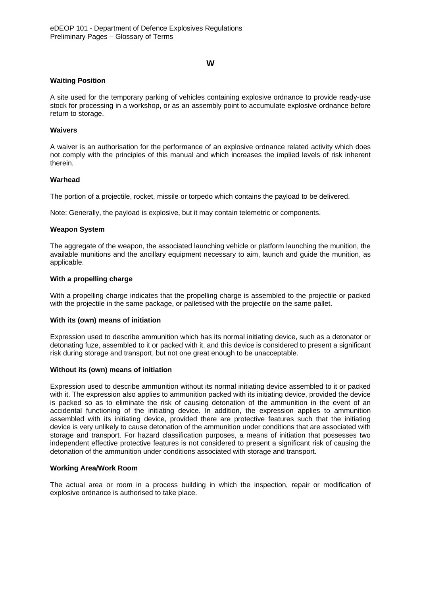### **W**

### **Waiting Position**

A site used for the temporary parking of vehicles containing explosive ordnance to provide ready-use stock for processing in a workshop, or as an assembly point to accumulate explosive ordnance before return to storage.

### **Waivers**

A waiver is an authorisation for the performance of an explosive ordnance related activity which does not comply with the principles of this manual and which increases the implied levels of risk inherent therein.

### **Warhead**

The portion of a projectile, rocket, missile or torpedo which contains the payload to be delivered.

Note: Generally, the payload is explosive, but it may contain telemetric or components.

#### **Weapon System**

The aggregate of the weapon, the associated launching vehicle or platform launching the munition, the available munitions and the ancillary equipment necessary to aim, launch and guide the munition, as applicable.

#### **With a propelling charge**

With a propelling charge indicates that the propelling charge is assembled to the projectile or packed with the projectile in the same package, or palletised with the projectile on the same pallet.

### **With its (own) means of initiation**

Expression used to describe ammunition which has its normal initiating device, such as a detonator or detonating fuze, assembled to it or packed with it, and this device is considered to present a significant risk during storage and transport, but not one great enough to be unacceptable.

#### **Without its (own) means of initiation**

Expression used to describe ammunition without its normal initiating device assembled to it or packed with it. The expression also applies to ammunition packed with its initiating device, provided the device is packed so as to eliminate the risk of causing detonation of the ammunition in the event of an accidental functioning of the initiating device. In addition, the expression applies to ammunition assembled with its initiating device, provided there are protective features such that the initiating device is very unlikely to cause detonation of the ammunition under conditions that are associated with storage and transport. For hazard classification purposes, a means of initiation that possesses two independent effective protective features is not considered to present a significant risk of causing the detonation of the ammunition under conditions associated with storage and transport.

#### **Working Area/Work Room**

The actual area or room in a process building in which the inspection, repair or modification of explosive ordnance is authorised to take place.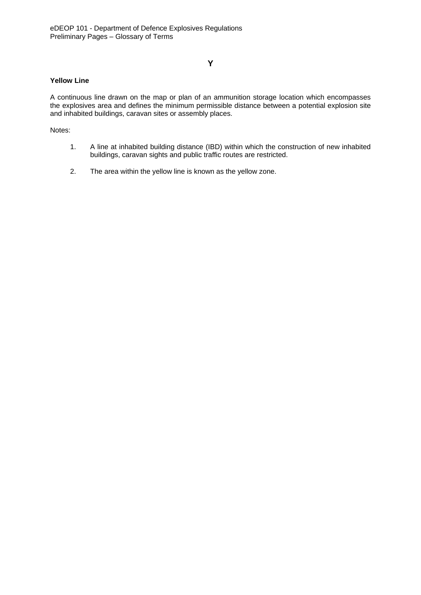# **Y**

### **Yellow Line**

A continuous line drawn on the map or plan of an ammunition storage location which encompasses the explosives area and defines the minimum permissible distance between a potential explosion site and inhabited buildings, caravan sites or assembly places.

Notes:

- 1. A line at inhabited building distance (IBD) within which the construction of new inhabited buildings, caravan sights and public traffic routes are restricted.
- 2. The area within the yellow line is known as the yellow zone.